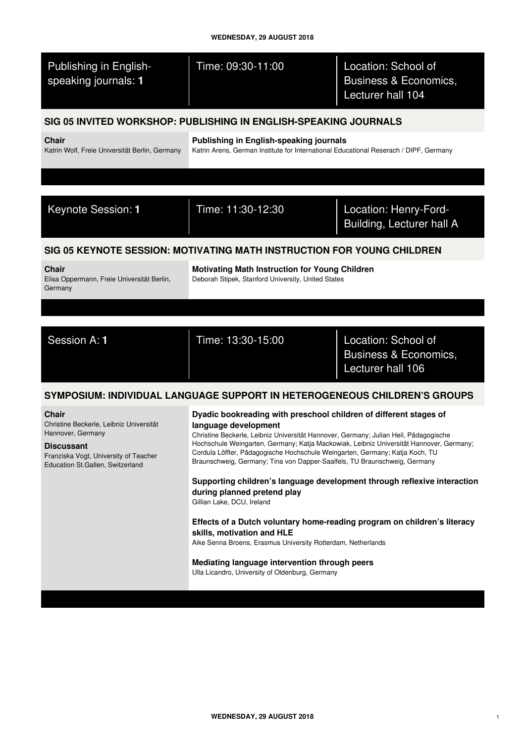| Time: 09:30-11:00                                                                                                                                                                                                                                                                                                                                                                                                                                                                                                                                                                                                                                                                                                                                                                                                                                                | Location: School of<br>Business & Economics,<br>Lecturer hall 104 |
|------------------------------------------------------------------------------------------------------------------------------------------------------------------------------------------------------------------------------------------------------------------------------------------------------------------------------------------------------------------------------------------------------------------------------------------------------------------------------------------------------------------------------------------------------------------------------------------------------------------------------------------------------------------------------------------------------------------------------------------------------------------------------------------------------------------------------------------------------------------|-------------------------------------------------------------------|
| SIG 05 INVITED WORKSHOP: PUBLISHING IN ENGLISH-SPEAKING JOURNALS                                                                                                                                                                                                                                                                                                                                                                                                                                                                                                                                                                                                                                                                                                                                                                                                 |                                                                   |
| Publishing in English-speaking journals<br>Katrin Arens, German Institute for International Educational Reserach / DIPF, Germany                                                                                                                                                                                                                                                                                                                                                                                                                                                                                                                                                                                                                                                                                                                                 |                                                                   |
|                                                                                                                                                                                                                                                                                                                                                                                                                                                                                                                                                                                                                                                                                                                                                                                                                                                                  |                                                                   |
| Time: 11:30-12:30                                                                                                                                                                                                                                                                                                                                                                                                                                                                                                                                                                                                                                                                                                                                                                                                                                                | Location: Henry-Ford-<br><b>Building, Lecturer hall A</b>         |
| SIG 05 KEYNOTE SESSION: MOTIVATING MATH INSTRUCTION FOR YOUNG CHILDREN                                                                                                                                                                                                                                                                                                                                                                                                                                                                                                                                                                                                                                                                                                                                                                                           |                                                                   |
| <b>Motivating Math Instruction for Young Children</b><br>Deborah Stipek, Stanford University, United States                                                                                                                                                                                                                                                                                                                                                                                                                                                                                                                                                                                                                                                                                                                                                      |                                                                   |
|                                                                                                                                                                                                                                                                                                                                                                                                                                                                                                                                                                                                                                                                                                                                                                                                                                                                  |                                                                   |
| Time: 13:30-15:00                                                                                                                                                                                                                                                                                                                                                                                                                                                                                                                                                                                                                                                                                                                                                                                                                                                | Location: School of<br>Business & Economics,<br>Lecturer hall 106 |
| SYMPOSIUM: INDIVIDUAL LANGUAGE SUPPORT IN HETEROGENEOUS CHILDREN'S GROUPS                                                                                                                                                                                                                                                                                                                                                                                                                                                                                                                                                                                                                                                                                                                                                                                        |                                                                   |
| Dyadic bookreading with preschool children of different stages of<br>language development<br>Christine Beckerle, Leibniz Universität Hannover, Germany; Julian Heil, Pädagogische<br>Hochschule Weingarten, Germany; Katja Mackowiak, Leibniz Universität Hannover, Germany;<br>Cordula Löffler, Pädagogische Hochschule Weingarten, Germany; Katja Koch, TU<br>Braunschweig, Germany; Tina von Dapper-Saalfels, TU Braunschweig, Germany<br>Supporting children's language development through reflexive interaction<br>during planned pretend play<br>Gillian Lake, DCU, Ireland<br>Effects of a Dutch voluntary home-reading program on children's literacy<br>skills, motivation and HLE<br>Aike Senna Broens, Erasmus University Rotterdam, Netherlands<br>Mediating language intervention through peers<br>Ulla Licandro, University of Oldenburg, Germany |                                                                   |
|                                                                                                                                                                                                                                                                                                                                                                                                                                                                                                                                                                                                                                                                                                                                                                                                                                                                  |                                                                   |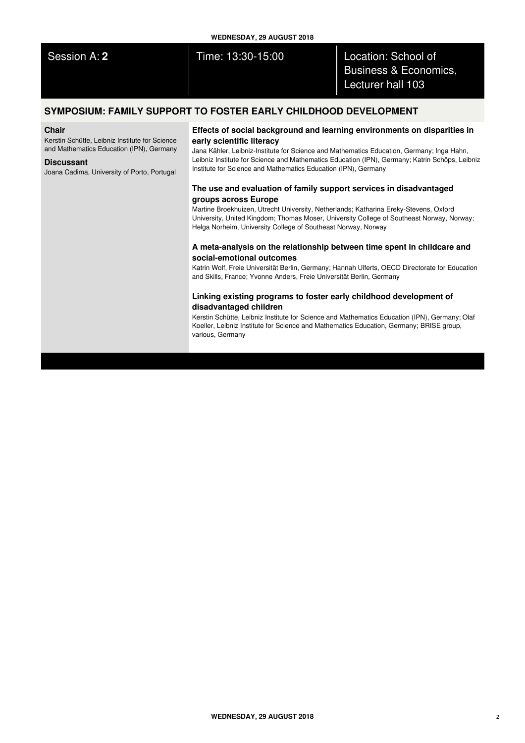| <b>WEDNESDAY, 29 AUGUST 2018</b> |                   |                                                                              |
|----------------------------------|-------------------|------------------------------------------------------------------------------|
| Session A: 2                     | Time: 13:30-15:00 | Location: School of<br><b>Business &amp; Economics,</b><br>Lecturer hall 103 |
|                                  |                   |                                                                              |

# **SYMPOSIUM: FAMILY SUPPORT TO FOSTER EARLY CHILDHOOD DEVELOPMENT**

## **Chair**

Kerstin Schütte, Leibniz Institute for Science and Mathematics Education (IPN), Germany

## **Discussant**

Joana Cadima, University of Porto, Portugal

## **Effects of social background and learning environments on disparities in early scientific literacy**

Jana Kähler, Leibniz-Institute for Science and Mathematics Education, Germany; Inga Hahn, Leibniz Institute for Science and Mathematics Education (IPN), Germany; Katrin Schöps, Leibniz Institute for Science and Mathematics Education (IPN), Germany

# **The use and evaluation of family support services in disadvantaged groups across Europe**

Martine Broekhuizen, Utrecht University, Netherlands; Katharina Ereky-Stevens, Oxford University, United Kingdom; Thomas Moser, University College of Southeast Norway, Norway; Helga Norheim, University College of Southeast Norway, Norway

## **A meta-analysis on the relationship between time spent in childcare and social-emotional outcomes**

Katrin Wolf, Freie Universität Berlin, Germany; Hannah Ulferts, OECD Directorate for Education and Skills, France; Yvonne Anders, Freie Universität Berlin, Germany

## **Linking existing programs to foster early childhood development of disadvantaged children**

Kerstin Schütte, Leibniz Institute for Science and Mathematics Education (IPN), Germany; Olaf Koeller, Leibniz Institute for Science and Mathematics Education, Germany; BRISE group, various, Germany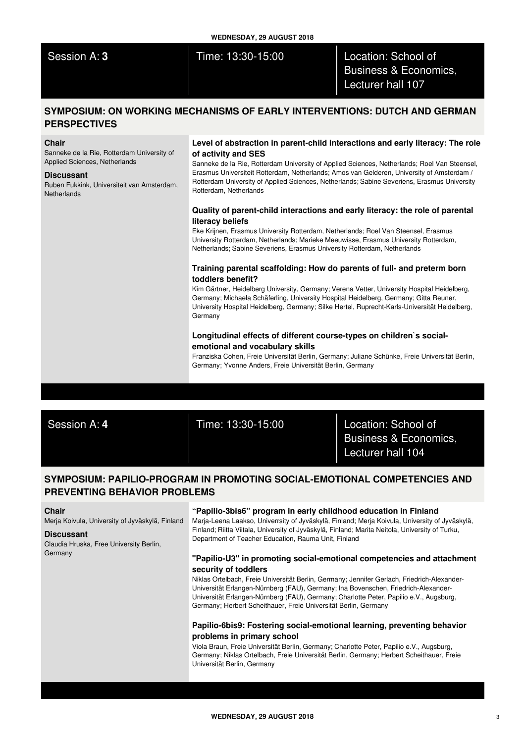Session A: **3** Time: 13:30-15:00 Location: School of Business & Economics, Lecturer hall 107

# **SYMPOSIUM: ON WORKING MECHANISMS OF EARLY INTERVENTIONS: DUTCH AND GERMAN PERSPECTIVES**

## **Chair**

Sanneke de la Rie, Rotterdam University of Applied Sciences, Netherlands

#### **Discussant**

Ruben Fukkink, Universiteit van Amsterdam, **Netherlands** 

## **Level of abstraction in parent-child interactions and early literacy: The role of activity and SES**

Sanneke de la Rie, Rotterdam University of Applied Sciences, Netherlands; Roel Van Steensel, Erasmus Universiteit Rotterdam, Netherlands; Amos van Gelderen, University of Amsterdam / Rotterdam University of Applied Sciences, Netherlands; Sabine Severiens, Erasmus University Rotterdam, Netherlands

## **Quality of parent-child interactions and early literacy: the role of parental literacy beliefs**

Eke Krijnen, Erasmus University Rotterdam, Netherlands; Roel Van Steensel, Erasmus University Rotterdam, Netherlands; Marieke Meeuwisse, Erasmus University Rotterdam, Netherlands; Sabine Severiens, Erasmus University Rotterdam, Netherlands

# **Training parental scaffolding: How do parents of full- and preterm born toddlers benefit?**

Kim Gärtner, Heidelberg University, Germany; Verena Vetter, University Hospital Heidelberg, Germany; Michaela Schäferling, University Hospital Heidelberg, Germany; Gitta Reuner, University Hospital Heidelberg, Germany; Silke Hertel, Ruprecht-Karls-Universität Heidelberg, Germany

## **Longitudinal effects of different course-types on children`s socialemotional and vocabulary skills**

Franziska Cohen, Freie Universität Berlin, Germany; Juliane Schünke, Freie Universität Berlin, Germany; Yvonne Anders, Freie Universität Berlin, Germany

Session A: **4** Time: 13:30-15:00 Location: School of Business & Economics, Lecturer hall 104

# **SYMPOSIUM: PAPILIO-PROGRAM IN PROMOTING SOCIAL-EMOTIONAL COMPETENCIES AND PREVENTING BEHAVIOR PROBLEMS**

### **Chair**

Merja Koivula, University of Jyväskylä, Finland

#### **Discussant**

Claudia Hruska, Free University Berlin, Germany

## **"Papilio-3bis6" program in early childhood education in Finland**

Marja-Leena Laakso, Univerrsity of Jyväskylä, Finland; Merja Koivula, University of Jyväskylä, Finland; Riitta Viitala, University of Jyväskylä, Finland; Marita Neitola, University of Turku, Department of Teacher Education, Rauma Unit, Finland

## **"Papilio-U3" in promoting social-emotional competencies and attachment security of toddlers**

Niklas Ortelbach, Freie Universität Berlin, Germany; Jennifer Gerlach, Friedrich-Alexander-Universität Erlangen-Nürnberg (FAU), Germany; Ina Bovenschen, Friedrich-Alexander-Universität Erlangen-Nürnberg (FAU), Germany; Charlotte Peter, Papilio e.V., Augsburg, Germany; Herbert Scheithauer, Freie Universität Berlin, Germany

## **Papilio-6bis9: Fostering social-emotional learning, preventing behavior problems in primary school**

Viola Braun, Freie Universität Berlin, Germany; Charlotte Peter, Papilio e.V., Augsburg, Germany; Niklas Ortelbach, Freie Universität Berlin, Germany; Herbert Scheithauer, Freie Universität Berlin, Germany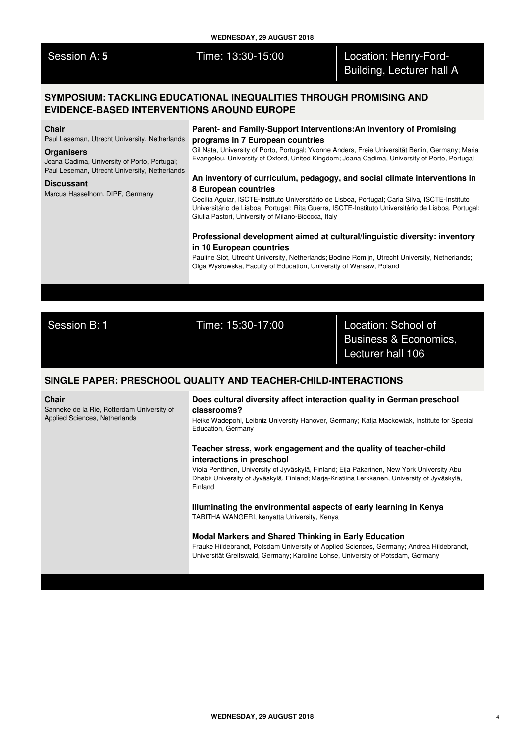|                                                                                                                                                                                                                                              | <b>WEDNESDAY, 29 AUGUST 2018</b>                                                                                                                                                                                                                                                                                                                                                                                                                                                                                                                                                                                                                                                 |                                                    |  |
|----------------------------------------------------------------------------------------------------------------------------------------------------------------------------------------------------------------------------------------------|----------------------------------------------------------------------------------------------------------------------------------------------------------------------------------------------------------------------------------------------------------------------------------------------------------------------------------------------------------------------------------------------------------------------------------------------------------------------------------------------------------------------------------------------------------------------------------------------------------------------------------------------------------------------------------|----------------------------------------------------|--|
| Session A: 5                                                                                                                                                                                                                                 | Time: 13:30-15:00                                                                                                                                                                                                                                                                                                                                                                                                                                                                                                                                                                                                                                                                | Location: Henry-Ford-<br>Building, Lecturer hall A |  |
| SYMPOSIUM: TACKLING EDUCATIONAL INEQUALITIES THROUGH PROMISING AND<br><b>EVIDENCE-BASED INTERVENTIONS AROUND EUROPE</b>                                                                                                                      |                                                                                                                                                                                                                                                                                                                                                                                                                                                                                                                                                                                                                                                                                  |                                                    |  |
| <b>Chair</b><br>Paul Leseman, Utrecht University, Netherlands<br><b>Organisers</b><br>Joana Cadima, University of Porto, Portugal;<br>Paul Leseman, Utrecht University, Netherlands<br><b>Discussant</b><br>Marcus Hasselhorn, DIPF, Germany | Parent- and Family-Support Interventions: An Inventory of Promising<br>programs in 7 European countries<br>Gil Nata, University of Porto, Portugal; Yvonne Anders, Freie Universität Berlin, Germany; Maria<br>Evangelou, University of Oxford, United Kingdom; Joana Cadima, University of Porto, Portugal<br>An inventory of curriculum, pedagogy, and social climate interventions in<br>8 European countries<br>Cecília Aguiar, ISCTE-Instituto Universitário de Lisboa, Portugal; Carla Silva, ISCTE-Instituto<br>Universitário de Lisboa, Portugal; Rita Guerra, ISCTE-Instituto Universitário de Lisboa, Portugal;<br>Giulia Pastori, University of Milano-Bicocca, Italy |                                                    |  |
|                                                                                                                                                                                                                                              | Professional development aimed at cultural/linguistic diversity: inventory<br>in 10 European countries<br>Pauline Slot, Utrecht University, Netherlands; Bodine Romijn, Utrecht University, Netherlands;<br>Olga Wysłowska, Faculty of Education, University of Warsaw, Poland                                                                                                                                                                                                                                                                                                                                                                                                   |                                                    |  |

Session B: **1** Time: 15:30-17:00 Location: School of Business & Economics, Lecturer hall 106

# **SINGLE PAPER: PRESCHOOL QUALITY AND TEACHER-CHILD-INTERACTIONS**

## **Chair**

Sanneke de la Rie, Rotterdam University of Applied Sciences, Netherlands

## **Does cultural diversity affect interaction quality in German preschool classrooms?**

Heike Wadepohl, Leibniz University Hanover, Germany; Katja Mackowiak, Institute for Special Education, Germany

## **Teacher stress, work engagement and the quality of teacher-child interactions in preschool**

Viola Penttinen, University of Jyväskylä, Finland; Eija Pakarinen, New York University Abu Dhabi/ University of Jyväskylä, Finland; Marja-Kristiina Lerkkanen, University of Jyväskylä, Finland

## **Illuminating the environmental aspects of early learning in Kenya** TABITHA WANGERI, kenyatta University, Kenya

## **Modal Markers and Shared Thinking in Early Education**

Frauke Hildebrandt, Potsdam University of Applied Sciences, Germany; Andrea Hildebrandt, Universität Greifswald, Germany; Karoline Lohse, University of Potsdam, Germany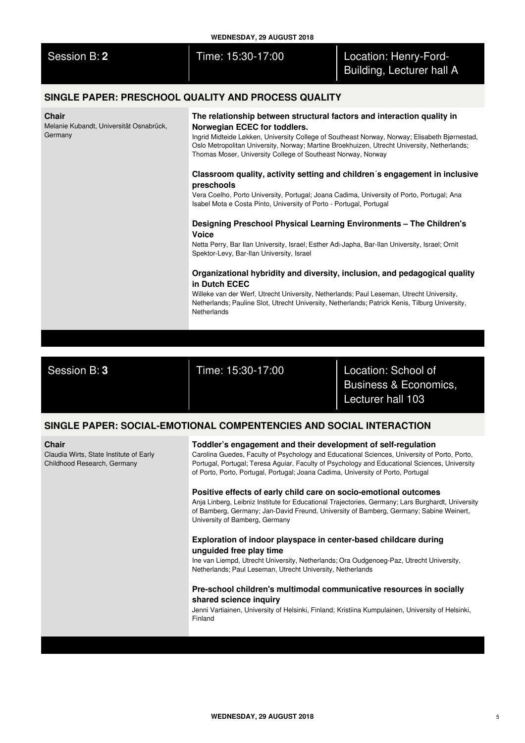| <b>WEDNESDAY, 29 AUGUST 2018</b>                                                                                                                                                                                                                     |                                                                                                                                                                                                                                                                                                                                                                                                                                                                                                                                                                                                                                                                                                                                                                                                                                                                                                                                                                                                                                                                                                                                                                                          |                                                                   |  |
|------------------------------------------------------------------------------------------------------------------------------------------------------------------------------------------------------------------------------------------------------|------------------------------------------------------------------------------------------------------------------------------------------------------------------------------------------------------------------------------------------------------------------------------------------------------------------------------------------------------------------------------------------------------------------------------------------------------------------------------------------------------------------------------------------------------------------------------------------------------------------------------------------------------------------------------------------------------------------------------------------------------------------------------------------------------------------------------------------------------------------------------------------------------------------------------------------------------------------------------------------------------------------------------------------------------------------------------------------------------------------------------------------------------------------------------------------|-------------------------------------------------------------------|--|
| Session B: 2                                                                                                                                                                                                                                         | Time: 15:30-17:00                                                                                                                                                                                                                                                                                                                                                                                                                                                                                                                                                                                                                                                                                                                                                                                                                                                                                                                                                                                                                                                                                                                                                                        | Location: Henry-Ford-<br>Building, Lecturer hall A                |  |
|                                                                                                                                                                                                                                                      | SINGLE PAPER: PRESCHOOL QUALITY AND PROCESS QUALITY                                                                                                                                                                                                                                                                                                                                                                                                                                                                                                                                                                                                                                                                                                                                                                                                                                                                                                                                                                                                                                                                                                                                      |                                                                   |  |
| Chair<br>Melanie Kubandt, Universität Osnabrück,<br>Germany                                                                                                                                                                                          | The relationship between structural factors and interaction quality in<br>Norwegian ECEC for toddlers.<br>Ingrid Midteide Løkken, University College of Southeast Norway, Norway; Elisabeth Bjørnestad,<br>Oslo Metropolitan University, Norway; Martine Broekhuizen, Utrecht University, Netherlands;<br>Thomas Moser, University College of Southeast Norway, Norway<br>Classroom quality, activity setting and children's engagement in inclusive<br>preschools<br>Vera Coelho, Porto University, Portugal; Joana Cadima, University of Porto, Portugal; Ana<br>Isabel Mota e Costa Pinto, University of Porto - Portugal, Portugal<br>Designing Preschool Physical Learning Environments - The Children's<br><b>Voice</b><br>Netta Perry, Bar Ilan University, Israel; Esther Adi-Japha, Bar-Ilan University, Israel; Ornit<br>Spektor-Levy, Bar-Ilan University, Israel<br>Organizational hybridity and diversity, inclusion, and pedagogical quality<br>in Dutch ECEC<br>Willeke van der Werf, Utrecht University, Netherlands; Paul Leseman, Utrecht University,<br>Netherlands; Pauline Slot, Utrecht University, Netherlands; Patrick Kenis, Tilburg University,<br>Netherlands |                                                                   |  |
|                                                                                                                                                                                                                                                      |                                                                                                                                                                                                                                                                                                                                                                                                                                                                                                                                                                                                                                                                                                                                                                                                                                                                                                                                                                                                                                                                                                                                                                                          |                                                                   |  |
|                                                                                                                                                                                                                                                      |                                                                                                                                                                                                                                                                                                                                                                                                                                                                                                                                                                                                                                                                                                                                                                                                                                                                                                                                                                                                                                                                                                                                                                                          |                                                                   |  |
|                                                                                                                                                                                                                                                      |                                                                                                                                                                                                                                                                                                                                                                                                                                                                                                                                                                                                                                                                                                                                                                                                                                                                                                                                                                                                                                                                                                                                                                                          |                                                                   |  |
|                                                                                                                                                                                                                                                      |                                                                                                                                                                                                                                                                                                                                                                                                                                                                                                                                                                                                                                                                                                                                                                                                                                                                                                                                                                                                                                                                                                                                                                                          |                                                                   |  |
| Session B: 3                                                                                                                                                                                                                                         | Time: 15:30-17:00                                                                                                                                                                                                                                                                                                                                                                                                                                                                                                                                                                                                                                                                                                                                                                                                                                                                                                                                                                                                                                                                                                                                                                        | Location: School of<br>Business & Economics,<br>Lecturer hall 103 |  |
|                                                                                                                                                                                                                                                      | SINGLE PAPER: SOCIAL-EMOTIONAL COMPENTENCIES AND SOCIAL INTERACTION                                                                                                                                                                                                                                                                                                                                                                                                                                                                                                                                                                                                                                                                                                                                                                                                                                                                                                                                                                                                                                                                                                                      |                                                                   |  |
| <b>Chair</b><br>Claudia Wirts, State Institute of Early<br>Childhood Research, Germany                                                                                                                                                               | Toddler's engagement and their development of self-regulation<br>Carolina Guedes, Faculty of Psychology and Educational Sciences, University of Porto, Porto,<br>Portugal, Portugal; Teresa Aguiar, Faculty of Psychology and Educational Sciences, University<br>of Porto, Porto, Portugal, Portugal; Joana Cadima, University of Porto, Portugal                                                                                                                                                                                                                                                                                                                                                                                                                                                                                                                                                                                                                                                                                                                                                                                                                                       |                                                                   |  |
|                                                                                                                                                                                                                                                      | Positive effects of early child care on socio-emotional outcomes<br>Anja Linberg, Leibniz Institute for Educational Trajectories, Germany; Lars Burghardt, University<br>of Bamberg, Germany; Jan-David Freund, University of Bamberg, Germany; Sabine Weinert,<br>University of Bamberg, Germany                                                                                                                                                                                                                                                                                                                                                                                                                                                                                                                                                                                                                                                                                                                                                                                                                                                                                        |                                                                   |  |
| Exploration of indoor playspace in center-based childcare during<br>unguided free play time<br>Ine van Liempd, Utrecht University, Netherlands; Ora Oudgenoeg-Paz, Utrecht University,<br>Netherlands; Paul Leseman, Utrecht University, Netherlands |                                                                                                                                                                                                                                                                                                                                                                                                                                                                                                                                                                                                                                                                                                                                                                                                                                                                                                                                                                                                                                                                                                                                                                                          |                                                                   |  |

# **Pre-school children's multimodal communicative resources in socially shared science inquiry**

Jenni Vartiainen, University of Helsinki, Finland; Kristiina Kumpulainen, University of Helsinki, Finland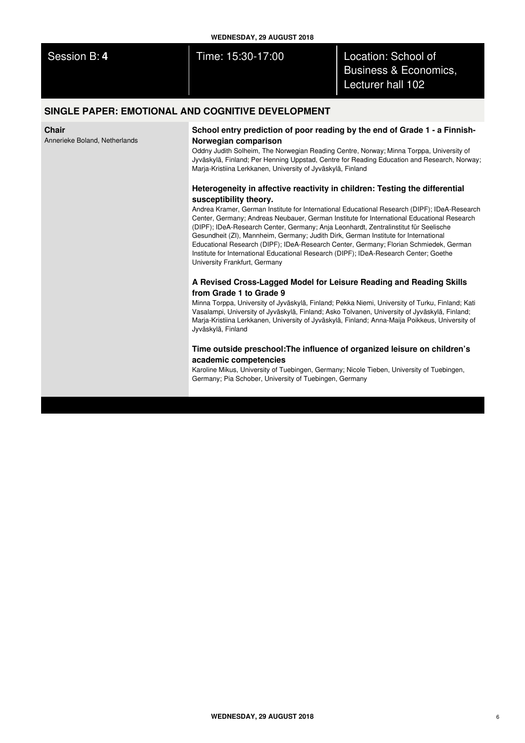| <b>WEDNESDAY, 29 AUGUST 2018</b>                  |                   |                                                                              |
|---------------------------------------------------|-------------------|------------------------------------------------------------------------------|
| Session B: 4                                      | Time: 15:30-17:00 | Location: School of<br><b>Business &amp; Economics,</b><br>Lecturer hall 102 |
| SINGLE PAPER: EMOTIONAL AND COGNITIVE DEVELOPMENT |                   |                                                                              |

# **SINGLE PAPER: EMOTIONAL AND COGNITIVE DEVELOPMENT**

**Chair**

Annerieke Boland, Netherlands

## **School entry prediction of poor reading by the end of Grade 1 - a Finnish-Norwegian comparison**

Oddny Judith Solheim, The Norwegian Reading Centre, Norway; Minna Torppa, University of Jyväskylä, Finland; Per Henning Uppstad, Centre for Reading Education and Research, Norway; Marja-Kristiina Lerkkanen, University of Jyväskylä, Finland

# **Heterogeneity in affective reactivity in children: Testing the differential susceptibility theory.**

Andrea Kramer, German Institute for International Educational Research (DIPF); IDeA-Research Center, Germany; Andreas Neubauer, German Institute for International Educational Research (DIPF); IDeA-Research Center, Germany; Anja Leonhardt, Zentralinstitut für Seelische Gesundheit (ZI), Mannheim, Germany; Judith Dirk, German Institute for International Educational Research (DIPF); IDeA-Research Center, Germany; Florian Schmiedek, German Institute for International Educational Research (DIPF); IDeA-Research Center; Goethe University Frankfurt, Germany

## **A Revised Cross-Lagged Model for Leisure Reading and Reading Skills from Grade 1 to Grade 9**

Minna Torppa, University of Jyväskylä, Finland; Pekka Niemi, University of Turku, Finland; Kati Vasalampi, University of Jyväskylä, Finland; Asko Tolvanen, University of Jyväskylä, Finland; Marja-Kristiina Lerkkanen, University of Jyväskylä, Finland; Anna-Maija Poikkeus, University of Jyväskylä, Finland

## **Time outside preschool:The influence of organized leisure on children's academic competencies**

Karoline Mikus, University of Tuebingen, Germany; Nicole Tieben, University of Tuebingen, Germany; Pia Schober, University of Tuebingen, Germany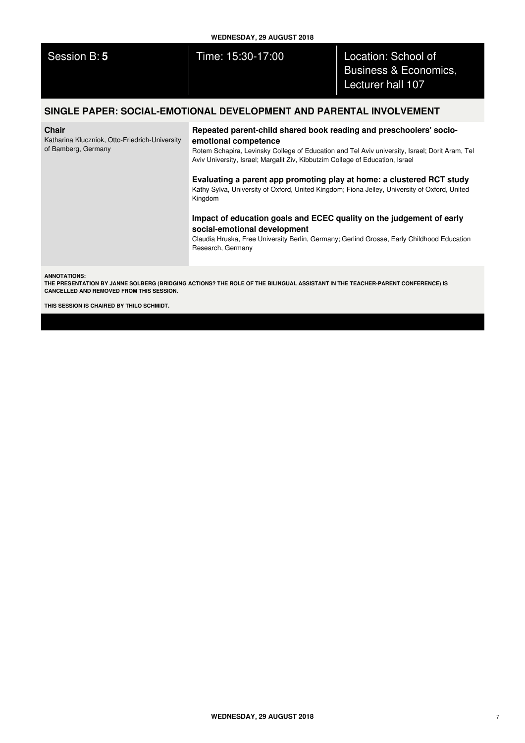| <b>WEDNESDAY, 29 AUGUST 2018</b>                                                      |                                                                                                                                                                                                                                                                                                                                                                                                                                                                    |                                                                              |  |
|---------------------------------------------------------------------------------------|--------------------------------------------------------------------------------------------------------------------------------------------------------------------------------------------------------------------------------------------------------------------------------------------------------------------------------------------------------------------------------------------------------------------------------------------------------------------|------------------------------------------------------------------------------|--|
| Session B: 5                                                                          | Time: 15:30-17:00                                                                                                                                                                                                                                                                                                                                                                                                                                                  | Location: School of<br><b>Business &amp; Economics,</b><br>Lecturer hall 107 |  |
| SINGLE PAPER: SOCIAL-EMOTIONAL DEVELOPMENT AND PARENTAL INVOLVEMENT                   |                                                                                                                                                                                                                                                                                                                                                                                                                                                                    |                                                                              |  |
| <b>Chair</b><br>Katharina Kluczniok, Otto-Friedrich-University<br>of Bamberg, Germany | Repeated parent-child shared book reading and preschoolers' socio-<br>emotional competence<br>Rotem Schapira, Levinsky College of Education and Tel Aviv university, Israel; Dorit Aram, Tel<br>Aviv University, Israel; Margalit Ziv, Kibbutzim College of Education, Israel<br>Evaluating a parent app promoting play at home: a clustered RCT study<br>Kathy Sylva, University of Oxford, United Kingdom; Fiona Jelley, University of Oxford, United<br>Kingdom |                                                                              |  |
|                                                                                       | Impact of education goals and ECEC quality on the judgement of early<br>social-emotional development                                                                                                                                                                                                                                                                                                                                                               |                                                                              |  |

Claudia Hruska, Free University Berlin, Germany; Gerlind Grosse, Early Childhood Education Research, Germany

**ANNOTATIONS:**

THE PRESENTATION BY JANNE SOLBERG (BRIDGING ACTIONS? THE ROLE OF THE BILINGUAL ASSISTANT IN THE TEACHER-PARENT CONFERENCE) IS **CANCELLED AND REMOVED FROM THIS SESSION.**

**THIS SESSION IS CHAIRED BY THILO SCHMIDT.**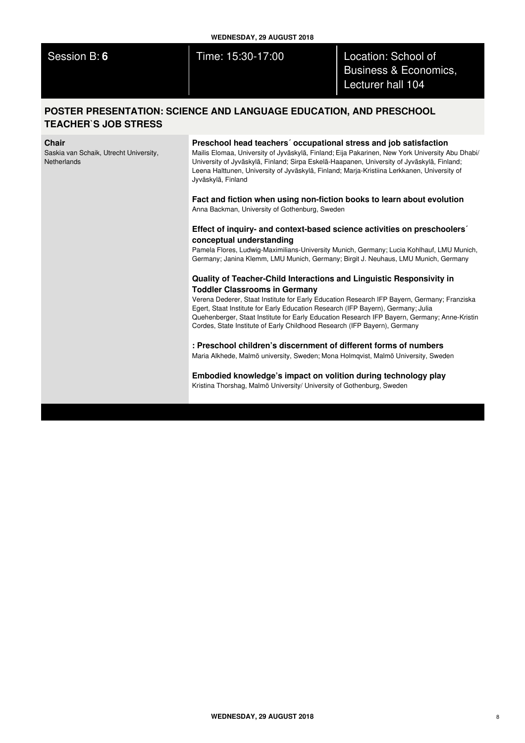Session B: **6** Time: 15:30-17:00 Location: School of Business & Economics, Lecturer hall 104

# **POSTER PRESENTATION: SCIENCE AND LANGUAGE EDUCATION, AND PRESCHOOL TEACHER`S JOB STRESS**

#### **Chair**

Saskia van Schaik, Utrecht University, **Netherlands** 

## **Preschool head teachers´ occupational stress and job satisfaction**

Mailis Elomaa, University of Jyväskylä, Finland; Eija Pakarinen, New York University Abu Dhabi/ University of Jyväskylä, Finland; Sirpa Eskelä-Haapanen, University of Jyväskylä, Finland; Leena Halttunen, University of Jyväskylä, Finland; Marja-Kristiina Lerkkanen, University of Jyväskylä, Finland

**Fact and fiction when using non-fiction books to learn about evolution** Anna Backman, University of Gothenburg, Sweden

## **Effect of inquiry- and context-based science activities on preschoolers´ conceptual understanding**

Pamela Flores, Ludwig-Maximilians-University Munich, Germany; Lucia Kohlhauf, LMU Munich, Germany; Janina Klemm, LMU Munich, Germany; Birgit J. Neuhaus, LMU Munich, Germany

## **Quality of Teacher-Child Interactions and Linguistic Responsivity in Toddler Classrooms in Germany**

Verena Dederer, Staat Institute for Early Education Research IFP Bayern, Germany; Franziska Egert, Staat Institute for Early Education Research (IFP Bayern), Germany; Julia Quehenberger, Staat Institute for Early Education Research IFP Bayern, Germany; Anne-Kristin Cordes, State Institute of Early Childhood Research (IFP Bayern), Germany

# **: Preschool children's discernment of different forms of numbers**

Maria Alkhede, Malmö university, Sweden; Mona Holmqvist, Malmö University, Sweden

**Embodied knowledge's impact on volition during technology play** Kristina Thorshag, Malmö University/ University of Gothenburg, Sweden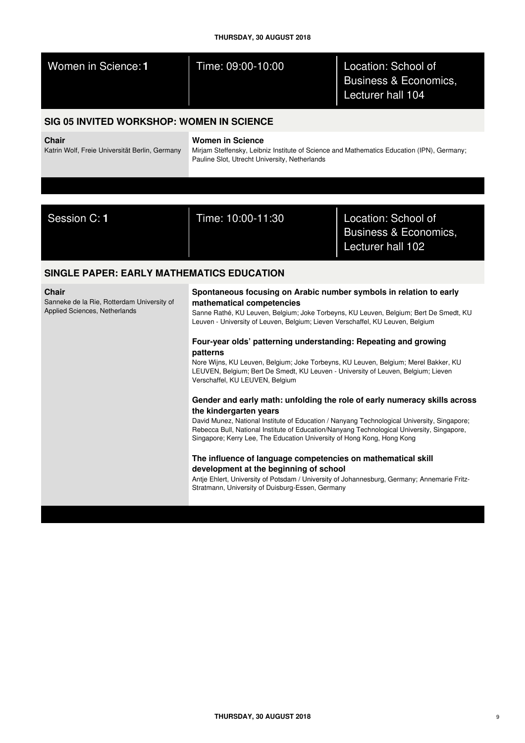| THURSDAY, 30 AUGUST 2018                                                                    |                                                                                                                                                                                                                                                                                                                                                                                                                                                                                                                                                                                                                                                                                                                                                                                                                                                                                                                                                                                                                                                                                                                                                                                                                     |                                                                   |  |
|---------------------------------------------------------------------------------------------|---------------------------------------------------------------------------------------------------------------------------------------------------------------------------------------------------------------------------------------------------------------------------------------------------------------------------------------------------------------------------------------------------------------------------------------------------------------------------------------------------------------------------------------------------------------------------------------------------------------------------------------------------------------------------------------------------------------------------------------------------------------------------------------------------------------------------------------------------------------------------------------------------------------------------------------------------------------------------------------------------------------------------------------------------------------------------------------------------------------------------------------------------------------------------------------------------------------------|-------------------------------------------------------------------|--|
| Women in Science: 1                                                                         | Time: 09:00-10:00                                                                                                                                                                                                                                                                                                                                                                                                                                                                                                                                                                                                                                                                                                                                                                                                                                                                                                                                                                                                                                                                                                                                                                                                   | Location: School of<br>Business & Economics,<br>Lecturer hall 104 |  |
| SIG 05 INVITED WORKSHOP: WOMEN IN SCIENCE                                                   |                                                                                                                                                                                                                                                                                                                                                                                                                                                                                                                                                                                                                                                                                                                                                                                                                                                                                                                                                                                                                                                                                                                                                                                                                     |                                                                   |  |
| <b>Chair</b><br>Katrin Wolf, Freie Universität Berlin, Germany                              | <b>Women in Science</b><br>Mirjam Steffensky, Leibniz Institute of Science and Mathematics Education (IPN), Germany;<br>Pauline Slot, Utrecht University, Netherlands                                                                                                                                                                                                                                                                                                                                                                                                                                                                                                                                                                                                                                                                                                                                                                                                                                                                                                                                                                                                                                               |                                                                   |  |
|                                                                                             |                                                                                                                                                                                                                                                                                                                                                                                                                                                                                                                                                                                                                                                                                                                                                                                                                                                                                                                                                                                                                                                                                                                                                                                                                     |                                                                   |  |
|                                                                                             |                                                                                                                                                                                                                                                                                                                                                                                                                                                                                                                                                                                                                                                                                                                                                                                                                                                                                                                                                                                                                                                                                                                                                                                                                     |                                                                   |  |
| Session C: 1                                                                                | Time: 10:00-11:30                                                                                                                                                                                                                                                                                                                                                                                                                                                                                                                                                                                                                                                                                                                                                                                                                                                                                                                                                                                                                                                                                                                                                                                                   | Location: School of<br>Business & Economics,<br>Lecturer hall 102 |  |
| <b>SINGLE PAPER: EARLY MATHEMATICS EDUCATION</b>                                            |                                                                                                                                                                                                                                                                                                                                                                                                                                                                                                                                                                                                                                                                                                                                                                                                                                                                                                                                                                                                                                                                                                                                                                                                                     |                                                                   |  |
| <b>Chair</b><br>Sanneke de la Rie, Rotterdam University of<br>Applied Sciences, Netherlands | Spontaneous focusing on Arabic number symbols in relation to early<br>mathematical competencies<br>Sanne Rathé, KU Leuven, Belgium; Joke Torbeyns, KU Leuven, Belgium; Bert De Smedt, KU<br>Leuven - University of Leuven, Belgium; Lieven Verschaffel, KU Leuven, Belgium<br>Four-year olds' patterning understanding: Repeating and growing<br>patterns<br>Nore Wijns, KU Leuven, Belgium; Joke Torbeyns, KU Leuven, Belgium; Merel Bakker, KU<br>LEUVEN, Belgium; Bert De Smedt, KU Leuven - University of Leuven, Belgium; Lieven<br>Verschaffel, KU LEUVEN, Belgium<br>Gender and early math: unfolding the role of early numeracy skills across<br>the kindergarten years<br>David Munez, National Institute of Education / Nanyang Technological University, Singapore;<br>Rebecca Bull, National Institute of Education/Nanyang Technological University, Singapore,<br>Singapore; Kerry Lee, The Education University of Hong Kong, Hong Kong<br>The influence of language competencies on mathematical skill<br>development at the beginning of school<br>Antje Ehlert, University of Potsdam / University of Johannesburg, Germany; Annemarie Fritz-<br>Stratmann, University of Duisburg-Essen, Germany |                                                                   |  |
|                                                                                             |                                                                                                                                                                                                                                                                                                                                                                                                                                                                                                                                                                                                                                                                                                                                                                                                                                                                                                                                                                                                                                                                                                                                                                                                                     |                                                                   |  |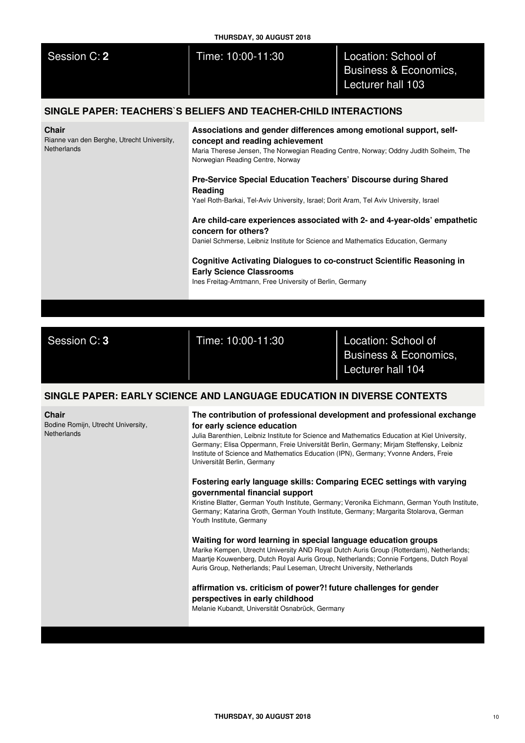| THURSDAY, 30 AUGUST 2018                                                  |                                                                                                                                                                                                                                                                                                                                                                                                                                                                                                                                                                                                                                                                                                                                                                                                                                                                                                                                                                                                                                                                                                                                                                                                                                                       |                                                                   |  |
|---------------------------------------------------------------------------|-------------------------------------------------------------------------------------------------------------------------------------------------------------------------------------------------------------------------------------------------------------------------------------------------------------------------------------------------------------------------------------------------------------------------------------------------------------------------------------------------------------------------------------------------------------------------------------------------------------------------------------------------------------------------------------------------------------------------------------------------------------------------------------------------------------------------------------------------------------------------------------------------------------------------------------------------------------------------------------------------------------------------------------------------------------------------------------------------------------------------------------------------------------------------------------------------------------------------------------------------------|-------------------------------------------------------------------|--|
| Session C: 2                                                              | Time: 10:00-11:30                                                                                                                                                                                                                                                                                                                                                                                                                                                                                                                                                                                                                                                                                                                                                                                                                                                                                                                                                                                                                                                                                                                                                                                                                                     | Location: School of<br>Business & Economics,<br>Lecturer hall 103 |  |
|                                                                           | SINGLE PAPER: TEACHERS`S BELIEFS AND TEACHER-CHILD INTERACTIONS                                                                                                                                                                                                                                                                                                                                                                                                                                                                                                                                                                                                                                                                                                                                                                                                                                                                                                                                                                                                                                                                                                                                                                                       |                                                                   |  |
| Chair<br>Rianne van den Berghe, Utrecht University,<br><b>Netherlands</b> | Associations and gender differences among emotional support, self-<br>concept and reading achievement<br>Maria Therese Jensen, The Norwegian Reading Centre, Norway; Oddny Judith Solheim, The<br>Norwegian Reading Centre, Norway<br>Pre-Service Special Education Teachers' Discourse during Shared<br>Reading<br>Yael Roth-Barkai, Tel-Aviv University, Israel; Dorit Aram, Tel Aviv University, Israel<br>Are child-care experiences associated with 2- and 4-year-olds' empathetic<br>concern for others?<br>Daniel Schmerse, Leibniz Institute for Science and Mathematics Education, Germany                                                                                                                                                                                                                                                                                                                                                                                                                                                                                                                                                                                                                                                   |                                                                   |  |
|                                                                           | Cognitive Activating Dialogues to co-construct Scientific Reasoning in<br><b>Early Science Classrooms</b><br>Ines Freitag-Amtmann, Free University of Berlin, Germany                                                                                                                                                                                                                                                                                                                                                                                                                                                                                                                                                                                                                                                                                                                                                                                                                                                                                                                                                                                                                                                                                 |                                                                   |  |
|                                                                           |                                                                                                                                                                                                                                                                                                                                                                                                                                                                                                                                                                                                                                                                                                                                                                                                                                                                                                                                                                                                                                                                                                                                                                                                                                                       |                                                                   |  |
| Session C: 3                                                              | Time: 10:00-11:30                                                                                                                                                                                                                                                                                                                                                                                                                                                                                                                                                                                                                                                                                                                                                                                                                                                                                                                                                                                                                                                                                                                                                                                                                                     | Location: School of<br>Business & Economics,<br>Lecturer hall 104 |  |
|                                                                           | SINGLE PAPER: EARLY SCIENCE AND LANGUAGE EDUCATION IN DIVERSE CONTEXTS                                                                                                                                                                                                                                                                                                                                                                                                                                                                                                                                                                                                                                                                                                                                                                                                                                                                                                                                                                                                                                                                                                                                                                                |                                                                   |  |
| Chair<br>Bodine Romijn, Utrecht University,<br>Netherlands                | The contribution of professional development and professional exchange<br>for early science education<br>Julia Barenthien, Leibniz Institute for Science and Mathematics Education at Kiel University,<br>Germany; Elisa Oppermann, Freie Universität Berlin, Germany; Mirjam Steffensky, Leibniz<br>Institute of Science and Mathematics Education (IPN), Germany; Yvonne Anders, Freie<br>Universität Berlin, Germany<br>Fostering early language skills: Comparing ECEC settings with varying<br>governmental financial support<br>Kristine Blatter, German Youth Institute, Germany; Veronika Eichmann, German Youth Institute,<br>Germany; Katarina Groth, German Youth Institute, Germany; Margarita Stolarova, German<br>Youth Institute, Germany<br>Waiting for word learning in special language education groups<br>Marike Kempen, Utrecht University AND Royal Dutch Auris Group (Rotterdam), Netherlands;<br>Maartje Kouwenberg, Dutch Royal Auris Group, Netherlands; Connie Fortgens, Dutch Royal<br>Auris Group, Netherlands; Paul Leseman, Utrecht University, Netherlands<br>affirmation vs. criticism of power?! future challenges for gender<br>perspectives in early childhood<br>Melanie Kubandt, Universität Osnabrück, Germany |                                                                   |  |
|                                                                           |                                                                                                                                                                                                                                                                                                                                                                                                                                                                                                                                                                                                                                                                                                                                                                                                                                                                                                                                                                                                                                                                                                                                                                                                                                                       |                                                                   |  |
|                                                                           |                                                                                                                                                                                                                                                                                                                                                                                                                                                                                                                                                                                                                                                                                                                                                                                                                                                                                                                                                                                                                                                                                                                                                                                                                                                       |                                                                   |  |
|                                                                           |                                                                                                                                                                                                                                                                                                                                                                                                                                                                                                                                                                                                                                                                                                                                                                                                                                                                                                                                                                                                                                                                                                                                                                                                                                                       |                                                                   |  |
|                                                                           |                                                                                                                                                                                                                                                                                                                                                                                                                                                                                                                                                                                                                                                                                                                                                                                                                                                                                                                                                                                                                                                                                                                                                                                                                                                       |                                                                   |  |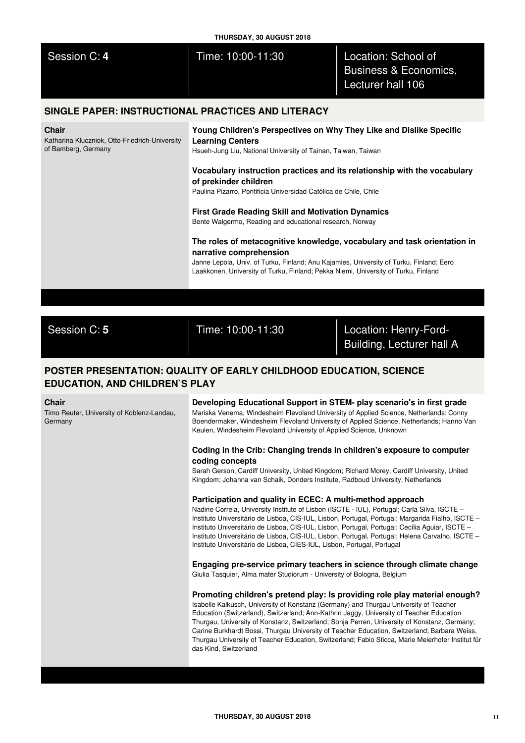| THURSDAY, 30 AUGUST 2018                                                              |                                                                                                                                                                                                                                                                                                                                                                                                                                                                                                                                                                                                                                                                                                                                                           |                                                                   |  |
|---------------------------------------------------------------------------------------|-----------------------------------------------------------------------------------------------------------------------------------------------------------------------------------------------------------------------------------------------------------------------------------------------------------------------------------------------------------------------------------------------------------------------------------------------------------------------------------------------------------------------------------------------------------------------------------------------------------------------------------------------------------------------------------------------------------------------------------------------------------|-------------------------------------------------------------------|--|
| Session C: 4                                                                          | Time: 10:00-11:30                                                                                                                                                                                                                                                                                                                                                                                                                                                                                                                                                                                                                                                                                                                                         | Location: School of<br>Business & Economics,<br>Lecturer hall 106 |  |
| SINGLE PAPER: INSTRUCTIONAL PRACTICES AND LITERACY                                    |                                                                                                                                                                                                                                                                                                                                                                                                                                                                                                                                                                                                                                                                                                                                                           |                                                                   |  |
| <b>Chair</b><br>Katharina Kluczniok, Otto-Friedrich-University<br>of Bamberg, Germany | Young Children's Perspectives on Why They Like and Dislike Specific<br><b>Learning Centers</b><br>Hsueh-Jung Liu, National University of Tainan, Taiwan, Taiwan<br>Vocabulary instruction practices and its relationship with the vocabulary<br>of prekinder children<br>Paulina Pizarro, Pontificia Universidad Católica de Chile, Chile<br><b>First Grade Reading Skill and Motivation Dynamics</b><br>Bente Walgermo, Reading and educational research, Norway<br>The roles of metacognitive knowledge, vocabulary and task orientation in<br>narrative comprehension<br>Janne Lepola, Univ. of Turku, Finland; Anu Kajamies, University of Turku, Finland; Eero<br>Laakkonen, University of Turku, Finland; Pekka Niemi, University of Turku, Finland |                                                                   |  |
|                                                                                       |                                                                                                                                                                                                                                                                                                                                                                                                                                                                                                                                                                                                                                                                                                                                                           |                                                                   |  |

Session C: **5** Time: 10:00-11:30 Location: Henry-Ford-Building, Lecturer hall A

# **POSTER PRESENTATION: QUALITY OF EARLY CHILDHOOD EDUCATION, SCIENCE EDUCATION, AND CHILDREN`S PLAY**

### **Chair**

Timo Reuter, University of Koblenz-Landau, Germany

**Developing Educational Support in STEM- play scenario's in first grade** Mariska Venema, Windesheim Flevoland University of Applied Science, Netherlands; Conny Boendermaker, Windesheim Flevoland University of Applied Science, Netherlands; Hanno Van Keulen, Windesheim Flevoland University of Applied Science, Unknown

## **Coding in the Crib: Changing trends in children's exposure to computer coding concepts**

Sarah Gerson, Cardiff University, United Kingdom; Richard Morey, Cardiff University, United Kingdom; Johanna van Schaik, Donders Institute, Radboud University, Netherlands

## **Participation and quality in ECEC: A multi-method approach**

Nadine Correia, University Institute of Lisbon (ISCTE - IUL), Portugal; Carla Silva, ISCTE – Instituto Universitário de Lisboa, CIS-IUL, Lisbon, Portugal, Portugal; Margarida Fialho, ISCTE – Instituto Universitário de Lisboa, CIS-IUL, Lisbon, Portugal, Portugal; Cecília Aguiar, ISCTE – Instituto Universitário de Lisboa, CIS-IUL, Lisbon, Portugal, Portugal; Helena Carvalho, ISCTE – Instituto Universitário de Lisboa, CIES-IUL, Lisbon, Portugal, Portugal

**Engaging pre-service primary teachers in science through climate change** Giulia Tasquier, Alma mater Studiorum - University of Bologna, Belgium

## **Promoting children's pretend play: Is providing role play material enough?**

Isabelle Kalkusch, University of Konstanz (Germany) and Thurgau University of Teacher Education (Switzerland), Switzerland; Ann-Kathrin Jaggy, University of Teacher Education Thurgau, University of Konstanz, Switzerland; Sonja Perren, University of Konstanz, Germany; Carine Burkhardt Bossi, Thurgau University of Teacher Education, Switzerland; Barbara Weiss, Thurgau University of Teacher Education, Switzerland; Fabio Sticca, Marie Meierhofer Institut für das Kind, Switzerland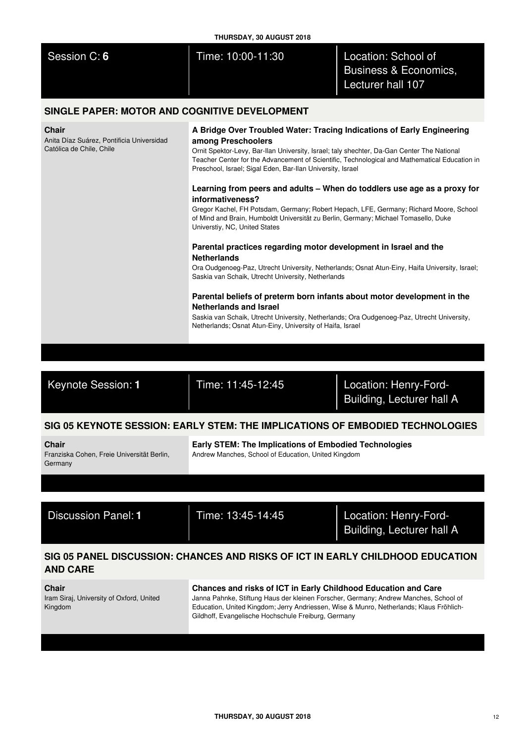| THURSDAY, 30 AUGUST 2018                      |                   |                                                                              |
|-----------------------------------------------|-------------------|------------------------------------------------------------------------------|
| Session C: 6                                  | Time: 10:00-11:30 | Location: School of<br><b>Business &amp; Economics,</b><br>Lecturer hall 107 |
| SINGLE PAPER: MOTOR AND COGNITIVE DEVELOPMENT |                   |                                                                              |
| $\sim$ $\sim$                                 |                   |                                                                              |

## **Chair**

Anita Díaz Suárez, Pontificia Universidad Católica de Chile, Chile

## **A Bridge Over Troubled Water: Tracing Indications of Early Engineering among Preschoolers**

Ornit Spektor-Levy, Bar-Ilan University, Israel; taly shechter, Da-Gan Center The National Teacher Center for the Advancement of Scientific, Technological and Mathematical Education in Preschool, Israel; Sigal Eden, Bar-Ilan University, Israel

# **Learning from peers and adults – When do toddlers use age as a proxy for informativeness?**

Gregor Kachel, FH Potsdam, Germany; Robert Hepach, LFE, Germany; Richard Moore, School of Mind and Brain, Humboldt Universität zu Berlin, Germany; Michael Tomasello, Duke Universtiy, NC, United States

# **Parental practices regarding motor development in Israel and the Netherlands**

Ora Oudgenoeg-Paz, Utrecht University, Netherlands; Osnat Atun-Einy, Haifa University, Israel; Saskia van Schaik, Utrecht University, Netherlands

# **Parental beliefs of preterm born infants about motor development in the Netherlands and Israel**

Saskia van Schaik, Utrecht University, Netherlands; Ora Oudgenoeg-Paz, Utrecht University, Netherlands; Osnat Atun-Einy, University of Haifa, Israel

Keynote Session: **1** Time: 11:45-12:45 Location: Henry-Ford-Building, Lecturer hall A

# **SIG 05 KEYNOTE SESSION: EARLY STEM: THE IMPLICATIONS OF EMBODIED TECHNOLOGIES**

**Chair**

Franziska Cohen, Freie Universität Berlin, Germany

**Early STEM: The Implications of Embodied Technologies** Andrew Manches, School of Education, United Kingdom

Discussion Panel: **1** Time: 13:45-14:45 Location: Henry-Ford-Building, Lecturer hall A

# **SIG 05 PANEL DISCUSSION: CHANCES AND RISKS OF ICT IN EARLY CHILDHOOD EDUCATION AND CARE**

**Chair**

Iram Siraj, University of Oxford, United Kingdom

# **Chances and risks of ICT in Early Childhood Education and Care**

Janna Pahnke, Stiftung Haus der kleinen Forscher, Germany; Andrew Manches, School of Education, United Kingdom; Jerry Andriessen, Wise & Munro, Netherlands; Klaus Fröhlich-Gildhoff, Evangelische Hochschule Freiburg, Germany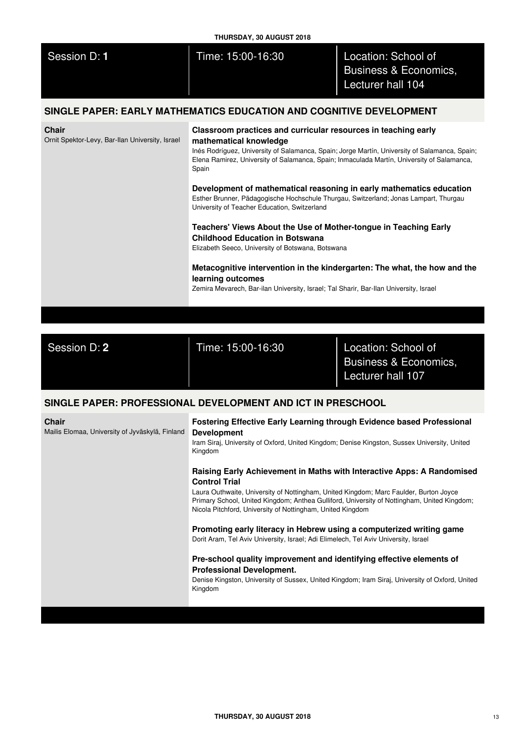| <b>THURSDAY, 30 AUGUST 2018</b>                                 |                                                                                                                                                                                                                                                                                                                                                                                                                                                                                                                                                                                                                                                                                                                                                                                                                                                                                |                                                                              |  |
|-----------------------------------------------------------------|--------------------------------------------------------------------------------------------------------------------------------------------------------------------------------------------------------------------------------------------------------------------------------------------------------------------------------------------------------------------------------------------------------------------------------------------------------------------------------------------------------------------------------------------------------------------------------------------------------------------------------------------------------------------------------------------------------------------------------------------------------------------------------------------------------------------------------------------------------------------------------|------------------------------------------------------------------------------|--|
| Session D: 1                                                    | Time: 15:00-16:30                                                                                                                                                                                                                                                                                                                                                                                                                                                                                                                                                                                                                                                                                                                                                                                                                                                              | Location: School of<br><b>Business &amp; Economics,</b><br>Lecturer hall 104 |  |
|                                                                 | SINGLE PAPER: EARLY MATHEMATICS EDUCATION AND COGNITIVE DEVELOPMENT                                                                                                                                                                                                                                                                                                                                                                                                                                                                                                                                                                                                                                                                                                                                                                                                            |                                                                              |  |
| <b>Chair</b><br>Ornit Spektor-Levy, Bar-Ilan University, Israel | Classroom practices and curricular resources in teaching early<br>mathematical knowledge<br>Inés Rodríguez, University of Salamanca, Spain; Jorge Martín, University of Salamanca, Spain;<br>Elena Ramirez, University of Salamanca, Spain; Inmaculada Martín, University of Salamanca,<br>Spain<br>Development of mathematical reasoning in early mathematics education<br>Esther Brunner, Pädagogische Hochschule Thurgau, Switzerland; Jonas Lampart, Thurgau<br>University of Teacher Education, Switzerland<br>Teachers' Views About the Use of Mother-tongue in Teaching Early<br><b>Childhood Education in Botswana</b><br>Elizabeth Seeco, University of Botswana, Botswana<br>Metacognitive intervention in the kindergarten: The what, the how and the<br>learning outcomes<br>Zemira Mevarech, Bar-ilan University, Israel; Tal Sharir, Bar-Ilan University, Israel |                                                                              |  |
|                                                                 |                                                                                                                                                                                                                                                                                                                                                                                                                                                                                                                                                                                                                                                                                                                                                                                                                                                                                |                                                                              |  |
| Session D: 2                                                    | Time: 15:00-16:30                                                                                                                                                                                                                                                                                                                                                                                                                                                                                                                                                                                                                                                                                                                                                                                                                                                              | Location: School of<br>Business & Economics,<br>Lecturer hall 107            |  |
|                                                                 | SINGLE PAPER: PROFESSIONAL DEVELOPMENT AND ICT IN PRESCHOOL                                                                                                                                                                                                                                                                                                                                                                                                                                                                                                                                                                                                                                                                                                                                                                                                                    |                                                                              |  |
| <b>Chair</b><br>Mailis Elomaa, University of Jyväskylä, Finland | Fostering Effective Early Learning through Evidence based Professional<br><b>Development</b><br>Iram Siraj, University of Oxford, United Kingdom; Denise Kingston, Sussex University, United<br>Kingdom                                                                                                                                                                                                                                                                                                                                                                                                                                                                                                                                                                                                                                                                        |                                                                              |  |
|                                                                 | Raising Early Achievement in Maths with Interactive Apps: A Randomised<br><b>Control Trial</b><br>Laura Outhwaite, University of Nottingham, United Kingdom; Marc Faulder, Burton Joyce<br>Primary School, United Kingdom; Anthea Gulliford, University of Nottingham, United Kingdom;<br>Nicola Pitchford, University of Nottingham, United Kingdom                                                                                                                                                                                                                                                                                                                                                                                                                                                                                                                           |                                                                              |  |

**Promoting early literacy in Hebrew using a computerized writing game** Dorit Aram, Tel Aviv University, Israel; Adi Elimelech, Tel Aviv University, Israel

# **Pre-school quality improvement and identifying effective elements of Professional Development.**

Denise Kingston, University of Sussex, United Kingdom; Iram Siraj, University of Oxford, United Kingdom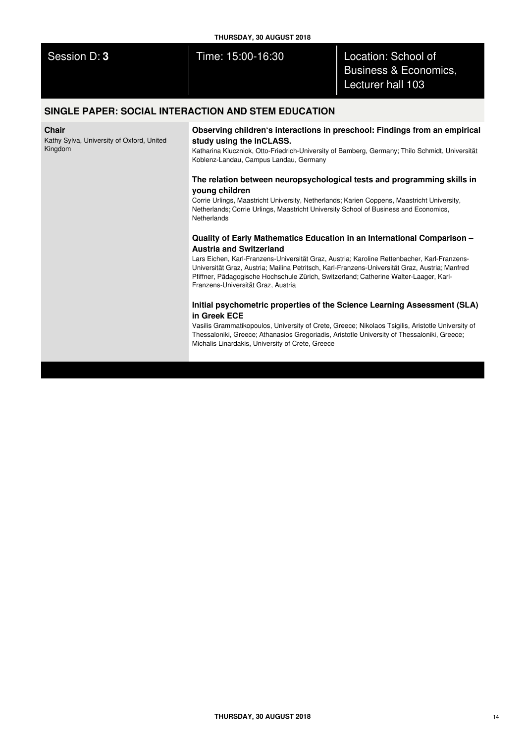| THURSDAY, 30 AUGUST 2018 |                   |                                                                              |
|--------------------------|-------------------|------------------------------------------------------------------------------|
| Session D: 3             | Time: 15:00-16:30 | Location: School of<br><b>Business &amp; Economics,</b><br>Lecturer hall 103 |
|                          |                   |                                                                              |

# **SINGLE PAPER: SOCIAL INTERACTION AND STEM EDUCATION**

## **Chair**

Kathy Sylva, University of Oxford, United Kingdom

**Observing children's interactions in preschool: Findings from an empirical study using the inCLASS.**

Katharina Kluczniok, Otto-Friedrich-University of Bamberg, Germany; Thilo Schmidt, Universität Koblenz-Landau, Campus Landau, Germany

## **The relation between neuropsychological tests and programming skills in young children**

Corrie Urlings, Maastricht University, Netherlands; Karien Coppens, Maastricht University, Netherlands; Corrie Urlings, Maastricht University School of Business and Economics, Netherlands

## **Quality of Early Mathematics Education in an International Comparison – Austria and Switzerland**

Lars Eichen, Karl-Franzens-Universität Graz, Austria; Karoline Rettenbacher, Karl-Franzens-Universität Graz, Austria; Mailina Petritsch, Karl-Franzens-Universität Graz, Austria; Manfred Pfiffner, Pädagogische Hochschule Zürich, Switzerland; Catherine Walter-Laager, Karl-Franzens-Universität Graz, Austria

# **Initial psychometric properties of the Science Learning Assessment (SLA) in Greek ECE**

Vasilis Grammatikopoulos, University of Crete, Greece; Nikolaos Tsigilis, Aristotle University of Thessaloniki, Greece; Athanasios Gregoriadis, Aristotle University of Thessaloniki, Greece; Michalis Linardakis, University of Crete, Greece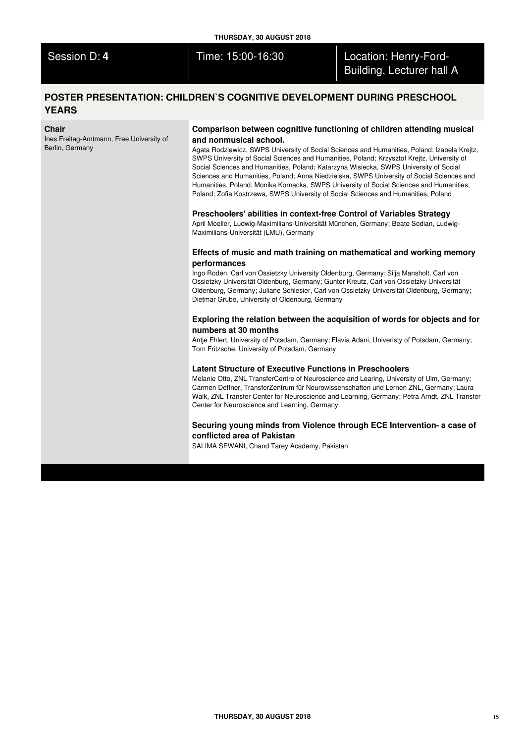| Session D: 4 |  |
|--------------|--|
|              |  |
|              |  |

Time: 15:00-16:30 **Location: Henry-Ford-**Building, Lecturer hall A

# **POSTER PRESENTATION: CHILDREN`S COGNITIVE DEVELOPMENT DURING PRESCHOOL YEARS**

### **Chair**

Ines Freitag-Amtmann, Free University of Berlin, Germany

## **Comparison between cognitive functioning of children attending musical and nonmusical school.**

Agata Rodziewicz, SWPS University of Social Sciences and Humanities, Poland; Izabela Krejtz, SWPS University of Social Sciences and Humanities, Poland; Krzysztof Krejtz, University of Social Sciences and Humanities, Poland; Katarzyna Wisiecka, SWPS University of Social Sciences and Humanities, Poland; Anna Niedzielska, SWPS University of Social Sciences and Humanities, Poland; Monika Kornacka, SWPS University of Social Sciences and Humanities, Poland; Zofia Kostrzewa, SWPS University of Social Sciences and Humanities, Poland

## **Preschoolers' abilities in context-free Control of Variables Strategy**

April Moeller, Ludwig-Maximilians-Universität München, Germany; Beate Sodian, Ludwig-Maximilians-Universität (LMU), Germany

## **Effects of music and math training on mathematical and working memory performances**

Ingo Roden, Carl von Ossietzky University Oldenburg, Germany; Silja Mansholt, Carl von Ossietzky Universität Oldenburg, Germany; Gunter Kreutz, Carl von Ossietzky Universität Oldenburg, Germany; Juliane Schlesier, Carl von Ossietzky Universität Oldenburg, Germany; Dietmar Grube, University of Oldenburg, Germany

## **Exploring the relation between the acquisition of words for objects and for numbers at 30 months**

Antje Ehlert, University of Potsdam, Germany; Flavia Adani, Univeristy of Potsdam, Germany; Tom Fritzsche, University of Potsdam, Germany

## **Latent Structure of Executive Functions in Preschoolers**

Melanie Otto, ZNL TransferCentre of Neuroscience and Learing, University of Ulm, Germany; Carmen Deffner, TransferZentrum für Neurowissenschaften und Lernen ZNL, Germany; Laura Walk, ZNL Transfer Center for Neuroscience and Learning, Germany; Petra Arndt, ZNL Transfer Center for Neuroscience and Learning, Germany

## **Securing young minds from Violence through ECE Intervention- a case of conflicted area of Pakistan**

SALIMA SEWANI, Chand Tarey Academy, Pakistan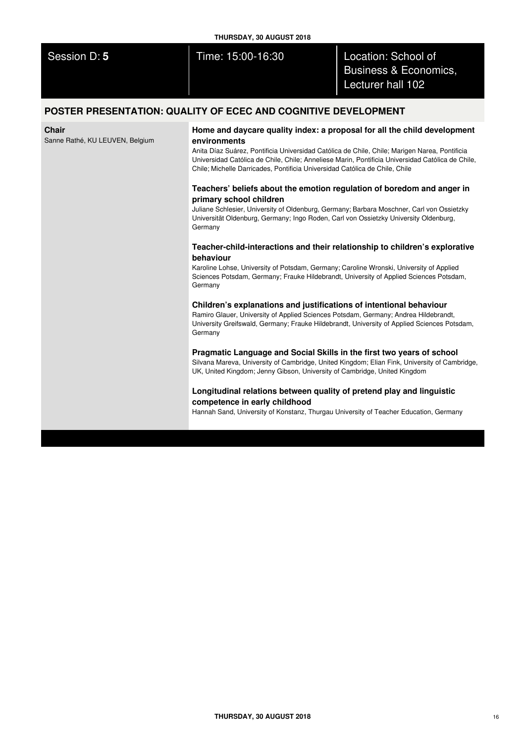| THURSDAY, 30 AUGUST 2018                                       |                   |                                                                              |  |  |
|----------------------------------------------------------------|-------------------|------------------------------------------------------------------------------|--|--|
| Session D: 5                                                   | Time: 15:00-16:30 | Location: School of<br><b>Business &amp; Economics,</b><br>Lecturer hall 102 |  |  |
| POSTER PRESENTATION: QUALITY OF ECEC AND COGNITIVE DEVELOPMENT |                   |                                                                              |  |  |

**Chair**

Sanne Rathé, KU LEUVEN, Belgium

**Home and daycare quality index: a proposal for all the child development environments**

Anita Díaz Suárez, Pontificia Universidad Católica de Chile, Chile; Marigen Narea, Pontificia Universidad Católica de Chile, Chile; Anneliese Marin, Pontificia Universidad Católica de Chile, Chile; Michelle Darricades, Pontificia Universidad Católica de Chile, Chile

# **Teachers' beliefs about the emotion regulation of boredom and anger in primary school children**

Juliane Schlesier, University of Oldenburg, Germany; Barbara Moschner, Carl von Ossietzky Universität Oldenburg, Germany; Ingo Roden, Carl von Ossietzky University Oldenburg, Germany

## **Teacher-child-interactions and their relationship to children's explorative behaviour**

Karoline Lohse, University of Potsdam, Germany; Caroline Wronski, University of Applied Sciences Potsdam, Germany; Frauke Hildebrandt, University of Applied Sciences Potsdam, Germany

# **Children's explanations and justifications of intentional behaviour**

Ramiro Glauer, University of Applied Sciences Potsdam, Germany; Andrea Hildebrandt, University Greifswald, Germany; Frauke Hildebrandt, University of Applied Sciences Potsdam, Germany

# **Pragmatic Language and Social Skills in the first two years of school**

Silvana Mareva, University of Cambridge, United Kingdom; Elian Fink, University of Cambridge, UK, United Kingdom; Jenny Gibson, University of Cambridge, United Kingdom

# **Longitudinal relations between quality of pretend play and linguistic competence in early childhood**

Hannah Sand, University of Konstanz, Thurgau University of Teacher Education, Germany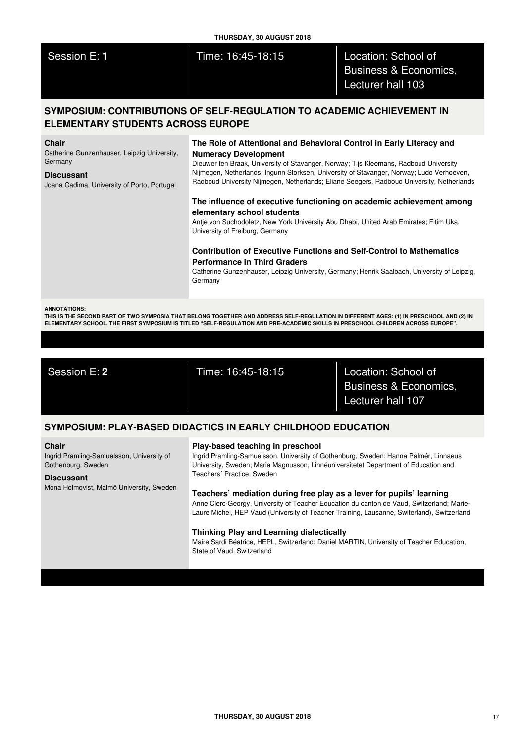| Session |  |  |
|---------|--|--|
|         |  |  |
|         |  |  |

# Time: 16:45-18:15 **Location: School of** Business & Economics, Lecturer hall 103

# **SYMPOSIUM: CONTRIBUTIONS OF SELF-REGULATION TO ACADEMIC ACHIEVEMENT IN ELEMENTARY STUDENTS ACROSS EUROPE**

#### **Chair**

Catherine Gunzenhauser, Leipzig University, Germany

#### **Discussant**

Joana Cadima, University of Porto, Portugal

# **The Role of Attentional and Behavioral Control in Early Literacy and Numeracy Development**

Dieuwer ten Braak, University of Stavanger, Norway; Tijs Kleemans, Radboud University Nijmegen, Netherlands; Ingunn Storksen, University of Stavanger, Norway; Ludo Verhoeven, Radboud University Nijmegen, Netherlands; Eliane Seegers, Radboud University, Netherlands

# **The influence of executive functioning on academic achievement among elementary school students**

Antje von Suchodoletz, New York University Abu Dhabi, United Arab Emirates; Fitim Uka, University of Freiburg, Germany

# **Contribution of Executive Functions and Self-Control to Mathematics Performance in Third Graders**

Catherine Gunzenhauser, Leipzig University, Germany; Henrik Saalbach, University of Leipzig, Germany

#### **ANNOTATIONS:**

THIS IS THE SECOND PART OF TWO SYMPOSIA THAT BELONG TOGETHER AND ADDRESS SELF-REGULATION IN DIFFERENT AGES: (1) IN PRESCHOOL AND (2) IN ELEMENTARY SCHOOL. THE FIRST SYMPOSIUM IS TITLED "SELF-REGULATION AND PRE-ACADEMIC SKILLS IN PRESCHOOL CHILDREN ACROSS EUROPE".

Session E: **2** Time: 16:45-18:15 Location: School of Business & Economics, Lecturer hall 107

# **SYMPOSIUM: PLAY-BASED DIDACTICS IN EARLY CHILDHOOD EDUCATION**

### **Chair**

Ingrid Pramling-Samuelsson, University of Gothenburg, Sweden

### **Discussant**

Mona Holmqvist, Malmö University, Sweden

## **Play-based teaching in preschool**

Ingrid Pramling-Samuelsson, University of Gothenburg, Sweden; Hanna Palmér, Linnaeus University, Sweden; Maria Magnusson, Linnéuniversitetet Department of Education and Teachers´ Practice, Sweden

## **Teachers' mediation during free play as a lever for pupils' learning**

Anne Clerc-Georgy, University of Teacher Education du canton de Vaud, Switzerland; Marie-Laure Michel, HEP Vaud (University of Teacher Training, Lausanne, Switerland), Switzerland

## **Thinking Play and Learning dialectically**

Maire Sardi Béatrice, HEPL, Switzerland; Daniel MARTIN, University of Teacher Education, State of Vaud, Switzerland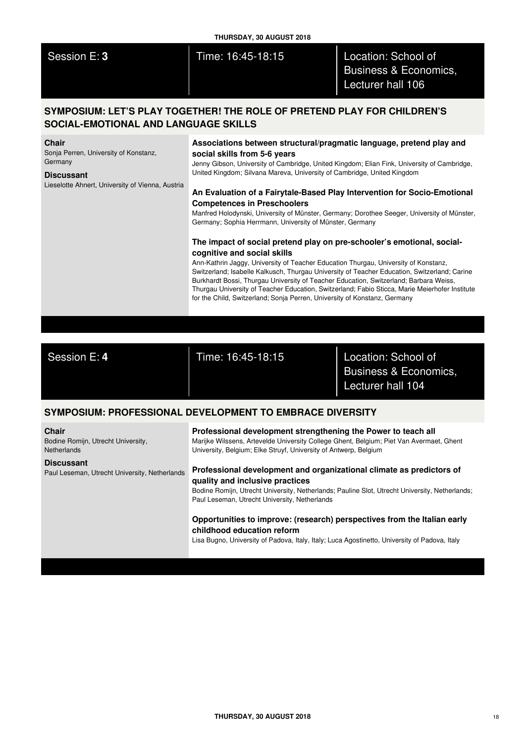| Session E: 3<br>Location: School of<br>Time: 16:45-18:15<br>Business & Economics,<br>Lecturer hall 106<br>SYMPOSIUM: LET'S PLAY TOGETHER! THE ROLE OF PRETEND PLAY FOR CHILDREN'S<br>SOCIAL-EMOTIONAL AND LANGUAGE SKILLS<br><b>Chair</b><br>Associations between structural/pragmatic language, pretend play and                                                                                                                                                                                                                                                                                                                                                                                                                                                                                                                                                                                                                                                                                                                                                                                                                                                                        |  |
|------------------------------------------------------------------------------------------------------------------------------------------------------------------------------------------------------------------------------------------------------------------------------------------------------------------------------------------------------------------------------------------------------------------------------------------------------------------------------------------------------------------------------------------------------------------------------------------------------------------------------------------------------------------------------------------------------------------------------------------------------------------------------------------------------------------------------------------------------------------------------------------------------------------------------------------------------------------------------------------------------------------------------------------------------------------------------------------------------------------------------------------------------------------------------------------|--|
|                                                                                                                                                                                                                                                                                                                                                                                                                                                                                                                                                                                                                                                                                                                                                                                                                                                                                                                                                                                                                                                                                                                                                                                          |  |
|                                                                                                                                                                                                                                                                                                                                                                                                                                                                                                                                                                                                                                                                                                                                                                                                                                                                                                                                                                                                                                                                                                                                                                                          |  |
| Sonja Perren, University of Konstanz,<br>social skills from 5-6 years<br>Germany<br>Jenny Gibson, University of Cambridge, United Kingdom; Elian Fink, University of Cambridge,<br>United Kingdom; Silvana Mareva, University of Cambridge, United Kingdom<br><b>Discussant</b><br>Lieselotte Ahnert, University of Vienna, Austria<br>An Evaluation of a Fairytale-Based Play Intervention for Socio-Emotional<br><b>Competences in Preschoolers</b><br>Manfred Holodynski, University of Münster, Germany; Dorothee Seeger, University of Münster,<br>Germany; Sophia Herrmann, University of Münster, Germany<br>The impact of social pretend play on pre-schooler's emotional, social-<br>cognitive and social skills<br>Ann-Kathrin Jaggy, University of Teacher Education Thurgau, University of Konstanz,<br>Switzerland; Isabelle Kalkusch, Thurgau University of Teacher Education, Switzerland; Carine<br>Burkhardt Bossi, Thurgau University of Teacher Education, Switzerland; Barbara Weiss,<br>Thurgau University of Teacher Education, Switzerland; Fabio Sticca, Marie Meierhofer Institute<br>for the Child, Switzerland; Sonja Perren, University of Konstanz, Germany |  |

Session E: **4** Time: 16:45-18:15 Location: School of Business & Economics, Lecturer hall 104

# **SYMPOSIUM: PROFESSIONAL DEVELOPMENT TO EMBRACE DIVERSITY**

| <b>Chair</b><br>Bodine Romijn, Utrecht University,<br><b>Netherlands</b> | Professional development strengthening the Power to teach all<br>Marijke Wilssens, Artevelde University College Ghent, Belgium; Piet Van Avermaet, Ghent<br>University, Belgium; Elke Struyf, University of Antwerp, Belgium                               |
|--------------------------------------------------------------------------|------------------------------------------------------------------------------------------------------------------------------------------------------------------------------------------------------------------------------------------------------------|
| <b>Discussant</b><br>Paul Leseman, Utrecht University, Netherlands       | Professional development and organizational climate as predictors of<br>quality and inclusive practices<br>Bodine Romijn, Utrecht University, Netherlands; Pauline Slot, Utrecht University, Netherlands;<br>Paul Leseman, Utrecht University, Netherlands |
|                                                                          | Opportunities to improve: (research) perspectives from the Italian early<br>childhood education reform<br>Lisa Bugno, University of Padova, Italy, Italy; Luca Agostinetto, University of Padova, Italy                                                    |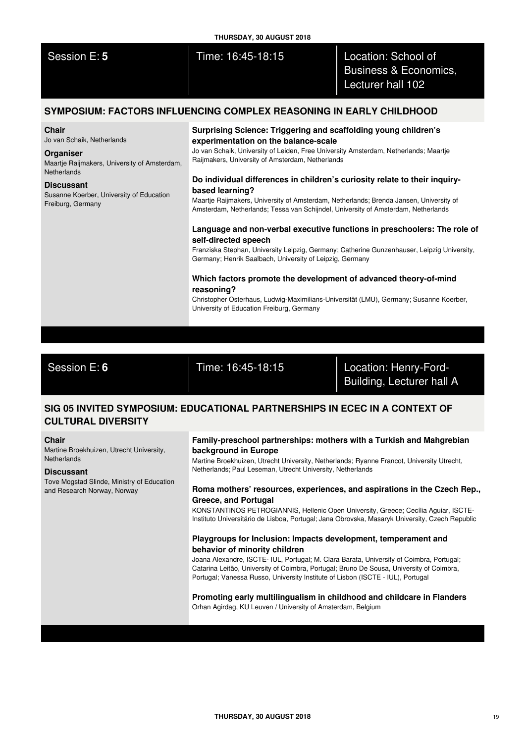|                                                                                 | THURSDAY, 30 AUGUST 2018                                                                                                                                                    |                                                                              |  |
|---------------------------------------------------------------------------------|-----------------------------------------------------------------------------------------------------------------------------------------------------------------------------|------------------------------------------------------------------------------|--|
| Session E: 5                                                                    | Time: 16:45-18:15                                                                                                                                                           | Location: School of<br><b>Business &amp; Economics,</b><br>Lecturer hall 102 |  |
|                                                                                 | SYMPOSIUM: FACTORS INFLUENCING COMPLEX REASONING IN EARLY CHILDHOOD                                                                                                         |                                                                              |  |
| <b>Chair</b><br>Jo van Schaik, Netherlands                                      | Surprising Science: Triggering and scaffolding young children's<br>experimentation on the balance-scale                                                                     |                                                                              |  |
| Organiser<br>Maartje Raijmakers, University of Amsterdam,<br><b>Netherlands</b> | Jo van Schaik, University of Leiden, Free University Amsterdam, Netherlands; Maartje<br>Raijmakers, University of Amsterdam, Netherlands                                    |                                                                              |  |
| <b>Discussant</b>                                                               | Do individual differences in children's curiosity relate to their inquiry-                                                                                                  |                                                                              |  |
| Susanne Koerber, University of Education<br>Freiburg, Germany                   | based learning?                                                                                                                                                             |                                                                              |  |
|                                                                                 | Maartje Raijmakers, University of Amsterdam, Netherlands; Brenda Jansen, University of<br>Amsterdam, Netherlands; Tessa van Schijndel, University of Amsterdam, Netherlands |                                                                              |  |
|                                                                                 | Language and non-verbal executive functions in preschoolers: The role of                                                                                                    |                                                                              |  |
|                                                                                 | self-directed speech                                                                                                                                                        |                                                                              |  |
|                                                                                 | Franziska Stephan, University Leinzig, Germany: Catherine Gunzenhauser, Leinzig University                                                                                  |                                                                              |  |

Franziska Stephan, University Leipzig, Germany; Catherine Gunzenhauser, Leipzig University, Germany; Henrik Saalbach, University of Leipzig, Germany

## **Which factors promote the development of advanced theory-of-mind reasoning?**

Christopher Osterhaus, Ludwig-Maximilians-Universität (LMU), Germany; Susanne Koerber, University of Education Freiburg, Germany

Session E: **6** Time: 16:45-18:15 Location: Henry-Ford-

Building, Lecturer hall A

# **SIG 05 INVITED SYMPOSIUM: EDUCATIONAL PARTNERSHIPS IN ECEC IN A CONTEXT OF CULTURAL DIVERSITY**

## **Chair**

Martine Broekhuizen, Utrecht University, **Netherlands** 

### **Discussant**

Tove Mogstad Slinde, Ministry of Education and Research Norway, Norway

## **Family-preschool partnerships: mothers with a Turkish and Mahgrebian background in Europe**

Martine Broekhuizen, Utrecht University, Netherlands; Ryanne Francot, University Utrecht, Netherlands; Paul Leseman, Utrecht University, Netherlands

## **Roma mothers' resources, experiences, and aspirations in the Czech Rep., Greece, and Portugal**

KONSTANTINOS PETROGIANNIS, Hellenic Open University, Greece; Cecília Aguiar, ISCTE-Instituto Universitário de Lisboa, Portugal; Jana Obrovska, Masaryk University, Czech Republic

# **Playgroups for Inclusion: Impacts development, temperament and behavior of minority children**

Joana Alexandre, ISCTE- IUL, Portugal; M. Clara Barata, University of Coimbra, Portugal; Catarina Leitão, University of Coimbra, Portugal; Bruno De Sousa, University of Coimbra, Portugal; Vanessa Russo, University Institute of Lisbon (ISCTE - IUL), Portugal

## **Promoting early multilingualism in childhood and childcare in Flanders** Orhan Agirdag, KU Leuven / University of Amsterdam, Belgium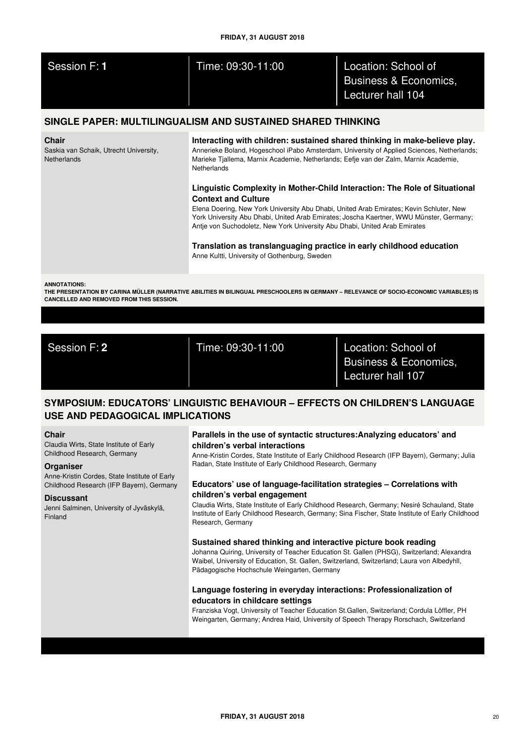| Session F: 1 | Time: 09:30-11:00 | Location: School of<br><b>Business &amp; Economics.</b> |
|--------------|-------------------|---------------------------------------------------------|
|              |                   | Lecturer hall 104                                       |
|              |                   |                                                         |

# **SINGLE PAPER: MULTILINGUALISM AND SUSTAINED SHARED THINKING**

### **Chair**

Saskia van Schaik, Utrecht University, **Netherlands** 

**Interacting with children: sustained shared thinking in make-believe play.** Annerieke Boland, Hogeschool iPabo Amsterdam, University of Applied Sciences, Netherlands; Marieke Tjallema, Marnix Academie, Netherlands; Eefje van der Zalm, Marnix Academie, **Netherlands** 

## **Linguistic Complexity in Mother-Child Interaction: The Role of Situational Context and Culture**

Elena Doering, New York University Abu Dhabi, United Arab Emirates; Kevin Schluter, New York University Abu Dhabi, United Arab Emirates; Joscha Kaertner, WWU Münster, Germany; Antje von Suchodoletz, New York University Abu Dhabi, United Arab Emirates

**Translation as translanguaging practice in early childhood education** Anne Kultti, University of Gothenburg, Sweden

**ANNOTATIONS:**

THE PRESENTATION BY CARINA MÜLLER (NARRATIVE ABILITIES IN BILINGUAL PRESCHOOLERS IN GERMANY - RELEVANCE OF SOCIO-ECONOMIC VARIABLES) IS **CANCELLED AND REMOVED FROM THIS SESSION.**

Session F: **2** Time: 09:30-11:00 Location: School of

Business & Economics, Lecturer hall 107

# **SYMPOSIUM: EDUCATORS' LINGUISTIC BEHAVIOUR – EFFECTS ON CHILDREN'S LANGUAGE USE AND PEDAGOGICAL IMPLICATIONS**

### **Chair**

Claudia Wirts, State Institute of Early Childhood Research, Germany

## **Organiser**

Anne-Kristin Cordes, State Institute of Early Childhood Research (IFP Bayern), Germany

## **Discussant**

Jenni Salminen, University of Jyväskylä, Finland

## **Parallels in the use of syntactic structures:Analyzing educators' and children's verbal interactions**

Anne-Kristin Cordes, State Institute of Early Childhood Research (IFP Bayern), Germany; Julia Radan, State Institute of Early Childhood Research, Germany

## **Educators' use of language-facilitation strategies – Correlations with children's verbal engagement**

Claudia Wirts, State Institute of Early Childhood Research, Germany; Nesiré Schauland, State Institute of Early Childhood Research, Germany; Sina Fischer, State Institute of Early Childhood Research, Germany

## **Sustained shared thinking and interactive picture book reading**

Johanna Quiring, University of Teacher Education St. Gallen (PHSG), Switzerland; Alexandra Waibel, University of Education, St. Gallen, Switzerland, Switzerland; Laura von Albedyhll, Pädagogische Hochschule Weingarten, Germany

## **Language fostering in everyday interactions: Professionalization of educators in childcare settings**

Franziska Vogt, University of Teacher Education St.Gallen, Switzerland; Cordula Löffler, PH Weingarten, Germany; Andrea Haid, University of Speech Therapy Rorschach, Switzerland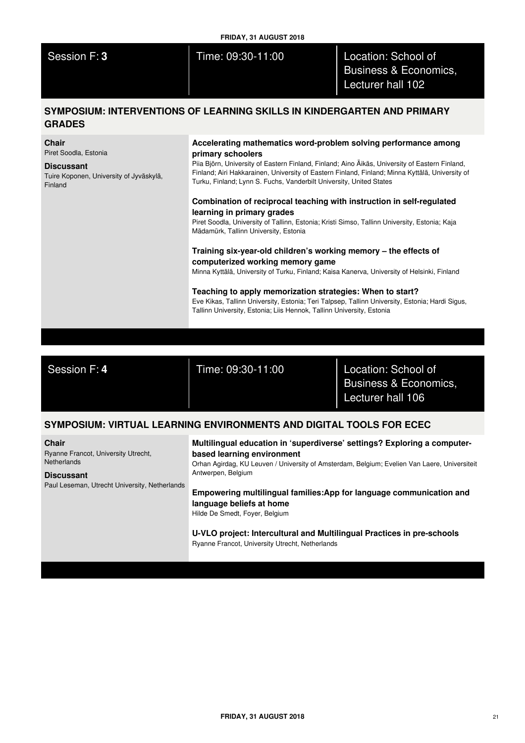| Session | 8 F.H |  |
|---------|-------|--|
|         |       |  |

Time: 09:30-11:00 **Location: School of** Business & Economics, Lecturer hall 102

# **SYMPOSIUM: INTERVENTIONS OF LEARNING SKILLS IN KINDERGARTEN AND PRIMARY GRADES**

**Chair**

Piret Soodla, Estonia

## **Discussant**

Tuire Koponen, University of Jyväskylä, Finland

## **Accelerating mathematics word-problem solving performance among primary schoolers**

Piia Björn, University of Eastern Finland, Finland; Aino Äikäs, University of Eastern Finland, Finland; Airi Hakkarainen, University of Eastern Finland, Finland; Minna Kyttälä, University of Turku, Finland; Lynn S. Fuchs, Vanderbilt University, United States

## **Combination of reciprocal teaching with instruction in self-regulated learning in primary grades**

Piret Soodla, University of Tallinn, Estonia; Kristi Simso, Tallinn University, Estonia; Kaja Mädamürk, Tallinn University, Estonia

## **Training six-year-old children's working memory – the effects of computerized working memory game**

Minna Kyttälä, University of Turku, Finland; Kaisa Kanerva, University of Helsinki, Finland

## **Teaching to apply memorization strategies: When to start?** Eve Kikas, Tallinn University, Estonia; Teri Talpsep, Tallinn University, Estonia; Hardi Sigus, Tallinn University, Estonia; Liis Hennok, Tallinn University, Estonia

Session F: **4** Time: 09:30-11:00 Location: School of Business & Economics, Lecturer hall 106

# **SYMPOSIUM: VIRTUAL LEARNING ENVIRONMENTS AND DIGITAL TOOLS FOR ECEC**

**Chair** Ryanne Francot, University Utrecht,

**Netherlands** 

**Discussant** Paul Leseman, Utrecht University, Netherlands

# **Multilingual education in 'superdiverse' settings? Exploring a computerbased learning environment**

Orhan Agirdag, KU Leuven / University of Amsterdam, Belgium; Evelien Van Laere, Universiteit Antwerpen, Belgium

# **Empowering multilingual families:App for language communication and language beliefs at home**

Hilde De Smedt, Foyer, Belgium

## **U-VLO project: Intercultural and Multilingual Practices in pre-schools** Ryanne Francot, University Utrecht, Netherlands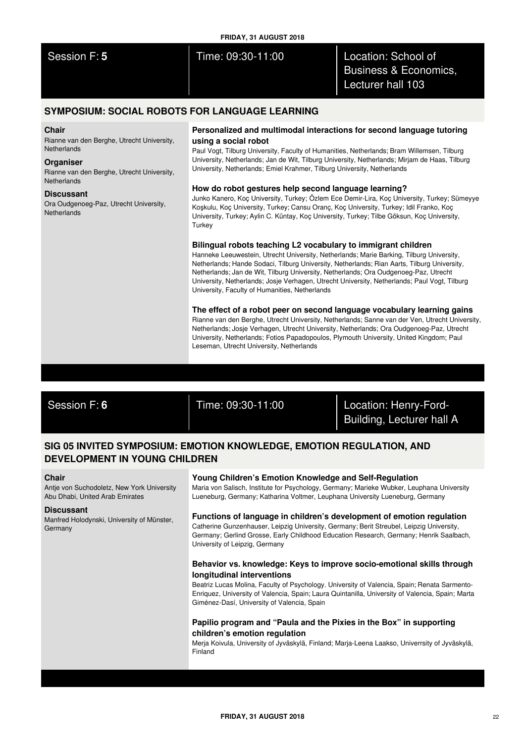| FRIDAY, 31 AUGUST 2018 |                   |                                                                              |  |  |
|------------------------|-------------------|------------------------------------------------------------------------------|--|--|
| Session F: 5           | Time: 09:30-11:00 | Location: School of<br><b>Business &amp; Economics,</b><br>Lecturer hall 103 |  |  |

# **SYMPOSIUM: SOCIAL ROBOTS FOR LANGUAGE LEARNING**

## **Chair**

Rianne van den Berghe, Utrecht University, **Netherlands** 

## **Organiser**

Rianne van den Berghe, Utrecht University, **Netherlands** 

### **Discussant**

Ora Oudgenoeg-Paz, Utrecht University, **Netherlands** 

## **Personalized and multimodal interactions for second language tutoring using a social robot**

Paul Vogt, Tilburg University, Faculty of Humanities, Netherlands; Bram Willemsen, Tilburg University, Netherlands; Jan de Wit, Tilburg University, Netherlands; Mirjam de Haas, Tilburg University, Netherlands; Emiel Krahmer, Tilburg University, Netherlands

## **How do robot gestures help second language learning?**

Junko Kanero, Koç University, Turkey; Özlem Ece Demir-Lira, Koç University, Turkey; Sümeyye Koşkulu, Koç University, Turkey; Cansu Oranç, Koç University, Turkey; Idil Franko, Koç University, Turkey; Aylin C. Küntay, Koç University, Turkey; Tilbe Göksun, Koç University, **Turkey** 

## **Bilingual robots teaching L2 vocabulary to immigrant children**

Hanneke Leeuwestein, Utrecht University, Netherlands; Marie Barking, Tilburg University, Netherlands; Hande Sodaci, Tilburg University, Netherlands; Rian Aarts, Tilburg University, Netherlands; Jan de Wit, Tilburg University, Netherlands; Ora Oudgenoeg-Paz, Utrecht University, Netherlands; Josje Verhagen, Utrecht University, Netherlands; Paul Vogt, Tilburg University, Faculty of Humanities, Netherlands

### **The effect of a robot peer on second language vocabulary learning gains**

Rianne van den Berghe, Utrecht University, Netherlands; Sanne van der Ven, Utrecht University, Netherlands; Josje Verhagen, Utrecht University, Netherlands; Ora Oudgenoeg-Paz, Utrecht University, Netherlands; Fotios Papadopoulos, Plymouth University, United Kingdom; Paul Leseman, Utrecht University, Netherlands

Session F: **6** Time: 09:30-11:00 Location: Henry-Ford-Building, Lecturer hall A

# **SIG 05 INVITED SYMPOSIUM: EMOTION KNOWLEDGE, EMOTION REGULATION, AND DEVELOPMENT IN YOUNG CHILDREN**

### **Chair**

Antje von Suchodoletz, New York University Abu Dhabi, United Arab Emirates

## **Discussant**

Manfred Holodynski, University of Münster, Germany

## **Young Children's Emotion Knowledge and Self-Regulation**

Maria von Salisch, Institute for Psychology, Germany; Marieke Wubker, Leuphana University Lueneburg, Germany; Katharina Voltmer, Leuphana University Lueneburg, Germany

## **Functions of language in children's development of emotion regulation** Catherine Gunzenhauser, Leipzig University, Germany; Berit Streubel, Leipzig University, Germany; Gerlind Grosse, Early Childhood Education Research, Germany; Henrik Saalbach, University of Leipzig, Germany

## **Behavior vs. knowledge: Keys to improve socio-emotional skills through longitudinal interventions**

Beatriz Lucas Molina, Faculty of Psychology. University of Valencia, Spain; Renata Sarmento-Enriquez, University of Valencia, Spain; Laura Quintanilla, University of Valencia, Spain; Marta Giménez-Dasí, University of Valencia, Spain

## **Papilio program and "Paula and the Pixies in the Box" in supporting children's emotion regulation**

Merja Koivula, University of Jyväskylä, Finland; Marja-Leena Laakso, Univerrsity of Jyväskylä, Finland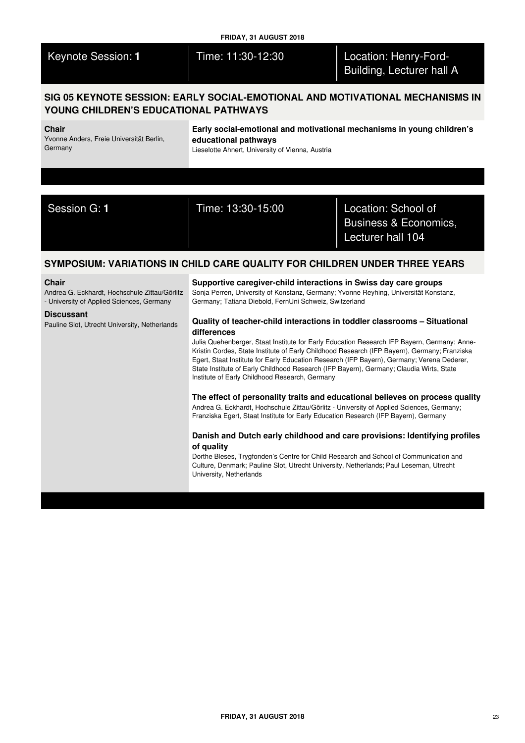| <b>Keynote Session: 1</b> |  |  |
|---------------------------|--|--|
|                           |  |  |

# Time: 11:30-12:30 **Location: Henry-Ford-**Building, Lecturer hall A

# **SIG 05 KEYNOTE SESSION: EARLY SOCIAL-EMOTIONAL AND MOTIVATIONAL MECHANISMS IN YOUNG CHILDREN'S EDUCATIONAL PATHWAYS**

### **Chair**

Yvonne Anders, Freie Universität Berlin, **Germany** 

**Early social-emotional and motivational mechanisms in young children's educational pathways**

Lieselotte Ahnert, University of Vienna, Austria

Session G: **1** Time: 13:30-15:00 Location: School of Business & Economics, Lecturer hall 104

# **SYMPOSIUM: VARIATIONS IN CHILD CARE QUALITY FOR CHILDREN UNDER THREE YEARS**

### **Chair**

Andrea G. Eckhardt, Hochschule Zittau/Görlitz - University of Applied Sciences, Germany

## **Discussant**

Pauline Slot, Utrecht University, Netherlands

# **Supportive caregiver-child interactions in Swiss day care groups**

Sonja Perren, University of Konstanz, Germany; Yvonne Reyhing, Universität Konstanz, Germany; Tatiana Diebold, FernUni Schweiz, Switzerland

## **Quality of teacher-child interactions in toddler classrooms – Situational differences**

Julia Quehenberger, Staat Institute for Early Education Research IFP Bayern, Germany; Anne-Kristin Cordes, State Institute of Early Childhood Research (IFP Bayern), Germany; Franziska Egert, Staat Institute for Early Education Research (IFP Bayern), Germany; Verena Dederer, State Institute of Early Childhood Research (IFP Bayern), Germany; Claudia Wirts, State Institute of Early Childhood Research, Germany

**The effect of personality traits and educational believes on process quality** Andrea G. Eckhardt, Hochschule Zittau/Görlitz - University of Applied Sciences, Germany; Franziska Egert, Staat Institute for Early Education Research (IFP Bayern), Germany

## **Danish and Dutch early childhood and care provisions: Identifying profiles of quality**

Dorthe Bleses, Trygfonden's Centre for Child Research and School of Communication and Culture, Denmark; Pauline Slot, Utrecht University, Netherlands; Paul Leseman, Utrecht University, Netherlands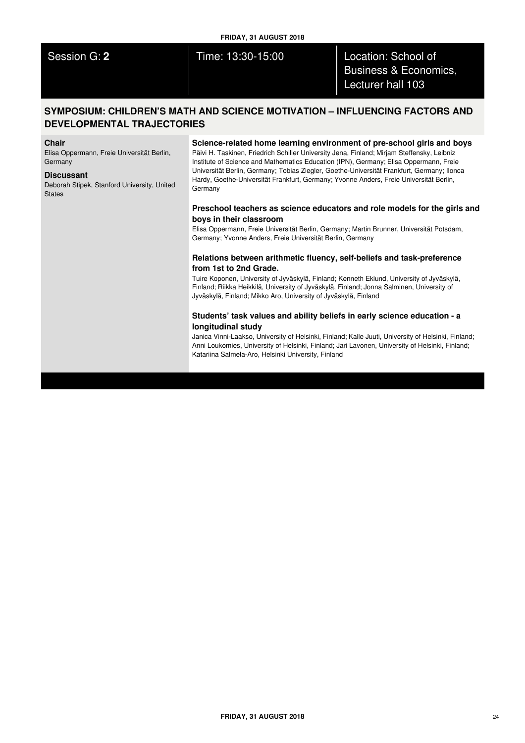Session G: **2** Time: 13:30-15:00 Location: School of Business & Economics, Lecturer hall 103

# **SYMPOSIUM: CHILDREN'S MATH AND SCIENCE MOTIVATION – INFLUENCING FACTORS AND DEVELOPMENTAL TRAJECTORIES**

#### **Chair**

Elisa Oppermann, Freie Universität Berlin, Germany

#### **Discussant**

Deborah Stipek, Stanford University, United **States** 

## **Science-related home learning environment of pre-school girls and boys**

Päivi H. Taskinen, Friedrich Schiller University Jena, Finland; Mirjam Steffensky, Leibniz Institute of Science and Mathematics Education (IPN), Germany; Elisa Oppermann, Freie Universität Berlin, Germany; Tobias Ziegler, Goethe-Universität Frankfurt, Germany; Ilonca Hardy, Goethe-Universität Frankfurt, Germany; Yvonne Anders, Freie Universität Berlin, **Germany** 

## **Preschool teachers as science educators and role models for the girls and boys in their classroom**

Elisa Oppermann, Freie Universität Berlin, Germany; Martin Brunner, Universität Potsdam, Germany; Yvonne Anders, Freie Universität Berlin, Germany

## **Relations between arithmetic fluency, self-beliefs and task-preference from 1st to 2nd Grade.**

Tuire Koponen, University of Jyväskylä, Finland; Kenneth Eklund, University of Jyväskylä, Finland; Riikka Heikkilä, University of Jyväskylä, Finland; Jonna Salminen, University of Jyväskylä, Finland; Mikko Aro, University of Jyväskylä, Finland

## **Students' task values and ability beliefs in early science education - a longitudinal study**

Janica Vinni-Laakso, University of Helsinki, Finland; Kalle Juuti, University of Helsinki, Finland; Anni Loukomies, University of Helsinki, Finland; Jari Lavonen, University of Helsinki, Finland; Katariina Salmela-Aro, Helsinki University, Finland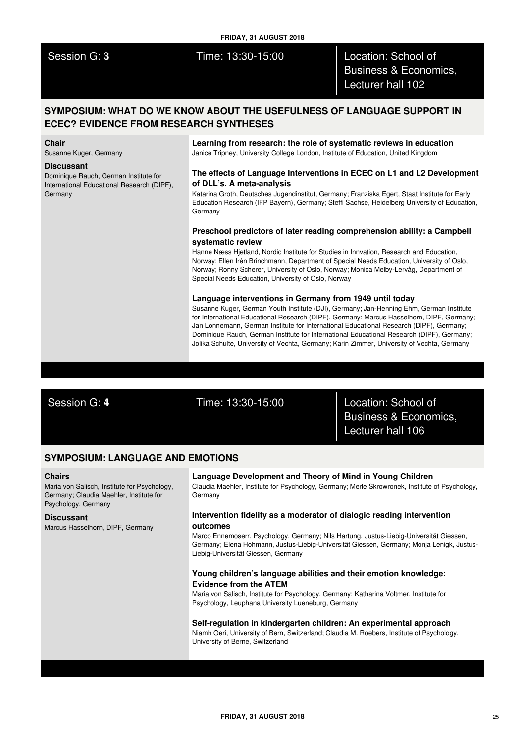| Session G: 3 |  |  |
|--------------|--|--|
|              |  |  |

Session G: **3** Time: 13:30-15:00 Location: School of Business & Economics, Lecturer hall 102

# **SYMPOSIUM: WHAT DO WE KNOW ABOUT THE USEFULNESS OF LANGUAGE SUPPORT IN ECEC? EVIDENCE FROM RESEARCH SYNTHESES**

#### **Chair**

Susanne Kuger, Germany

### **Discussant**

Dominique Rauch, German Institute for International Educational Research (DIPF), **Germany** 

**Learning from research: the role of systematic reviews in education** Janice Tripney, University College London, Institute of Education, United Kingdom

## **The effects of Language Interventions in ECEC on L1 and L2 Development of DLL's. A meta-analysis**

Katarina Groth, Deutsches Jugendinstitut, Germany; Franziska Egert, Staat Institute for Early Education Research (IFP Bayern), Germany; Steffi Sachse, Heidelberg University of Education, Germany

## **Preschool predictors of later reading comprehension ability: a Campbell systematic review**

Hanne Næss Hjetland, Nordic Institute for Studies in Innvation, Research and Education, Norway; Ellen Irén Brinchmann, Department of Special Needs Education, University of Oslo, Norway; Ronny Scherer, University of Oslo, Norway; Monica Melby-Lervåg, Department of Special Needs Education, University of Oslo, Norway

## **Language interventions in Germany from 1949 until today**

Susanne Kuger, German Youth Institute (DJI), Germany; Jan-Henning Ehm, German Institute for International Educational Research (DIPF), Germany; Marcus Hasselhorn, DIPF, Germany; Jan Lonnemann, German Institute for International Educational Research (DIPF), Germany; Dominique Rauch, German Institute for International Educational Research (DIPF), Germany; Jolika Schulte, University of Vechta, Germany; Karin Zimmer, University of Vechta, Germany

Session G: **4** Time: 13:30-15:00 Location: School of Business & Economics, Lecturer hall 106

# **SYMPOSIUM: LANGUAGE AND EMOTIONS**

## **Chairs**

Maria von Salisch, Institute for Psychology, Germany; Claudia Maehler, Institute for Psychology, Germany

### **Discussant**

Marcus Hasselhorn, DIPF, Germany

# **Language Development and Theory of Mind in Young Children**

Claudia Maehler, Institute for Psychology, Germany; Merle Skrowronek, Institute of Psychology, Germany

## **Intervention fidelity as a moderator of dialogic reading intervention outcomes**

Marco Ennemoserr, Psychology, Germany; Nils Hartung, Justus-Liebig-Universität Giessen, Germany; Elena Hohmann, Justus-Liebig-Universität Giessen, Germany; Monja Lenigk, Justus-Liebig-Universität Giessen, Germany

## **Young children's language abilities and their emotion knowledge: Evidence from the ATEM**

Maria von Salisch, Institute for Psychology, Germany; Katharina Voltmer, Institute for Psychology, Leuphana University Lueneburg, Germany

### **Self-regulation in kindergarten children: An experimental approach**

Niamh Oeri, University of Bern, Switzerland; Claudia M. Roebers, Institute of Psychology, University of Berne, Switzerland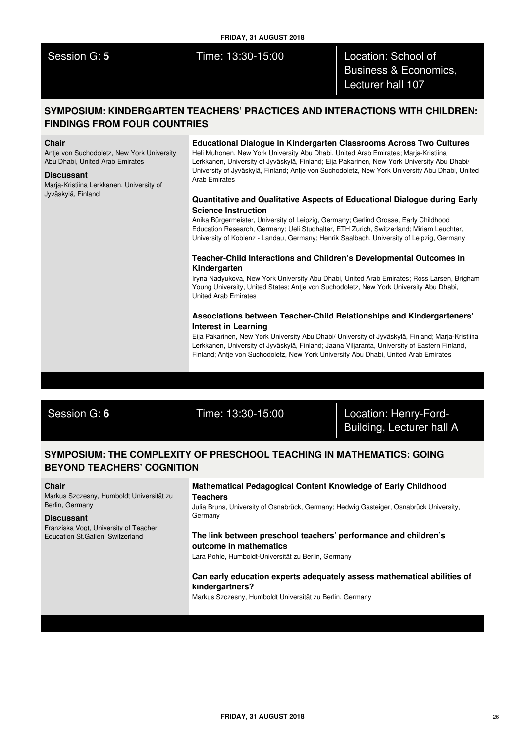## **FRIDAY, 31 AUGUST 2018**

Session G: **5** Time: 13:30-15:00 Location: School of Business & Economics, Lecturer hall 107

# **SYMPOSIUM: KINDERGARTEN TEACHERS' PRACTICES AND INTERACTIONS WITH CHILDREN: FINDINGS FROM FOUR COUNTRIES**

### **Chair**

Antje von Suchodoletz, New York University Abu Dhabi, United Arab Emirates

#### **Discussant**

Marja-Kristiina Lerkkanen, University of Jyväskylä, Finland

## **Educational Dialogue in Kindergarten Classrooms Across Two Cultures**

Heli Muhonen, New York University Abu Dhabi, United Arab Emirates; Marja-Kristiina Lerkkanen, University of Jyväskylä, Finland; Eija Pakarinen, New York University Abu Dhabi/ University of Jyväskylä, Finland; Antje von Suchodoletz, New York University Abu Dhabi, United Arab Emirates

## **Quantitative and Qualitative Aspects of Educational Dialogue during Early Science Instruction**

Anika Bürgermeister, University of Leipzig, Germany; Gerlind Grosse, Early Childhood Education Research, Germany; Ueli Studhalter, ETH Zurich, Switzerland; Miriam Leuchter, University of Koblenz - Landau, Germany; Henrik Saalbach, University of Leipzig, Germany

## **Teacher-Child Interactions and Children's Developmental Outcomes in Kindergarten**

Iryna Nadyukova, New York University Abu Dhabi, United Arab Emirates; Ross Larsen, Brigham Young University, United States; Antje von Suchodoletz, New York University Abu Dhabi, United Arab Emirates

# **Associations between Teacher-Child Relationships and Kindergarteners' Interest in Learning**

Eija Pakarinen, New York University Abu Dhabi/ University of Jyväskylä, Finland; Marja-Kristiina Lerkkanen, University of Jyväskylä, Finland; Jaana Viljaranta, University of Eastern Finland, Finland; Antje von Suchodoletz, New York University Abu Dhabi, United Arab Emirates

Session G: **6** Time: 13:30-15:00 Location: Henry-Ford-Building, Lecturer hall A

# **SYMPOSIUM: THE COMPLEXITY OF PRESCHOOL TEACHING IN MATHEMATICS: GOING BEYOND TEACHERS' COGNITION**

### **Chair**

Markus Szczesny, Humboldt Universität zu Berlin, Germany

## **Discussant**

Franziska Vogt, University of Teacher Education St.Gallen, Switzerland

## **Mathematical Pedagogical Content Knowledge of Early Childhood Teachers**

Julia Bruns, University of Osnabrück, Germany; Hedwig Gasteiger, Osnabrück University, Germany

# **The link between preschool teachers' performance and children's outcome in mathematics**

Lara Pohle, Humboldt-Universität zu Berlin, Germany

## **Can early education experts adequately assess mathematical abilities of kindergartners?**

Markus Szczesny, Humboldt Universität zu Berlin, Germany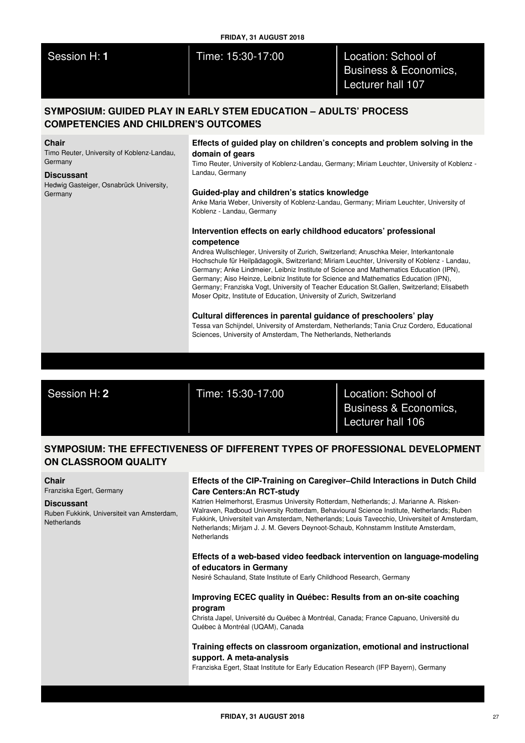| Session H: 1 |  |  |
|--------------|--|--|
|              |  |  |

## **FRIDAY, 31 AUGUST 2018**

Time: 15:30-17:00 **Location: School of** Business & Economics, Lecturer hall 107

# **SYMPOSIUM: GUIDED PLAY IN EARLY STEM EDUCATION – ADULTS' PROCESS COMPETENCIES AND CHILDREN'S OUTCOMES**

#### **Chair**

Timo Reuter, University of Koblenz-Landau, Germany

#### **Discussant**

Hedwig Gasteiger, Osnabrück University, Germany

## **Effects of guided play on children's concepts and problem solving in the domain of gears**

Timo Reuter, University of Koblenz-Landau, Germany; Miriam Leuchter, University of Koblenz - Landau, Germany

### **Guided-play and children's statics knowledge**

Anke Maria Weber, University of Koblenz-Landau, Germany; Miriam Leuchter, University of Koblenz - Landau, Germany

# **Intervention effects on early childhood educators' professional competence**

Andrea Wullschleger, University of Zurich, Switzerland; Anuschka Meier, Interkantonale Hochschule für Heilpädagogik, Switzerland; Miriam Leuchter, University of Koblenz - Landau, Germany; Anke Lindmeier, Leibniz Institute of Science and Mathematics Education (IPN), Germany; Aiso Heinze, Leibniz Institute for Science and Mathematics Education (IPN), Germany; Franziska Vogt, University of Teacher Education St.Gallen, Switzerland; Elisabeth Moser Opitz, Institute of Education, University of Zurich, Switzerland

## **Cultural differences in parental guidance of preschoolers' play**

Tessa van Schijndel, University of Amsterdam, Netherlands; Tania Cruz Cordero, Educational Sciences, University of Amsterdam, The Netherlands, Netherlands

Session H: **2** Time: 15:30-17:00 Location: School of

Business & Economics, Lecturer hall 106

# **SYMPOSIUM: THE EFFECTIVENESS OF DIFFERENT TYPES OF PROFESSIONAL DEVELOPMENT ON CLASSROOM QUALITY**

### **Chair**

Franziska Egert, Germany

### **Discussant**

Ruben Fukkink, Universiteit van Amsterdam, **Netherlands** 

## **Effects of the CIP-Training on Caregiver–Child Interactions in Dutch Child Care Centers:An RCT-study**

Katrien Helmerhorst, Erasmus University Rotterdam, Netherlands; J. Marianne A. Risken-Walraven, Radboud University Rotterdam, Behavioural Science Institute, Netherlands; Ruben Fukkink, Universiteit van Amsterdam, Netherlands; Louis Tavecchio, Universiteit of Amsterdam, Netherlands; Mirjam J. J. M. Gevers Deynoot-Schaub, Kohnstamm Institute Amsterdam, **Netherlands** 

## **Effects of a web-based video feedback intervention on language-modeling of educators in Germany**

Nesiré Schauland, State Institute of Early Childhood Research, Germany

## **Improving ECEC quality in Québec: Results from an on-site coaching program**

Christa Japel, Université du Québec à Montréal, Canada; France Capuano, Université du Québec à Montréal (UQAM), Canada

# **Training effects on classroom organization, emotional and instructional support. A meta-analysis**

Franziska Egert, Staat Institute for Early Education Research (IFP Bayern), Germany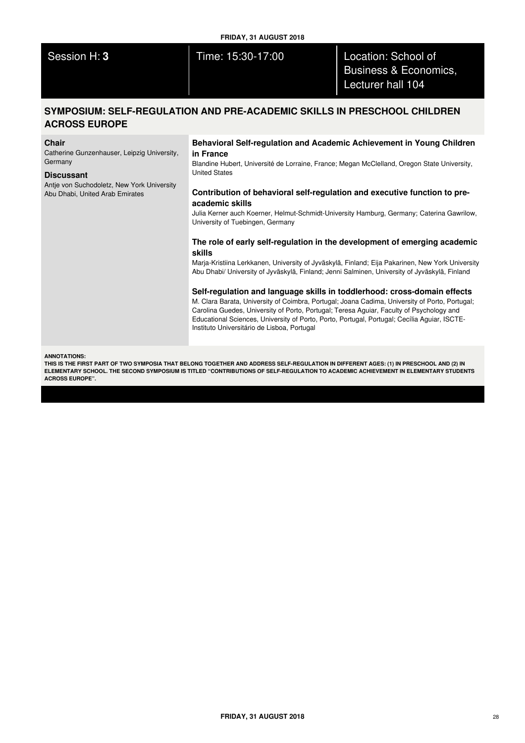## **FRIDAY, 31 AUGUST 2018**

Session H: **3** Time: 15:30-17:00 Location: School of Business & Economics, Lecturer hall 104

# **SYMPOSIUM: SELF-REGULATION AND PRE-ACADEMIC SKILLS IN PRESCHOOL CHILDREN ACROSS EUROPE**

### **Chair**

Catherine Gunzenhauser, Leipzig University, Germany

#### **Discussant**

Antje von Suchodoletz, New York University Abu Dhabi, United Arab Emirates

## **Behavioral Self-regulation and Academic Achievement in Young Children in France**

Blandine Hubert, Université de Lorraine, France; Megan McClelland, Oregon State University, United States

## **Contribution of behavioral self-regulation and executive function to preacademic skills**

Julia Kerner auch Koerner, Helmut-Schmidt-University Hamburg, Germany; Caterina Gawrilow, University of Tuebingen, Germany

## **The role of early self-regulation in the development of emerging academic skills**

Marja-Kristiina Lerkkanen, University of Jyväskylä, Finland; Eija Pakarinen, New York University Abu Dhabi/ University of Jyväskylä, Finland; Jenni Salminen, University of Jyväskylä, Finland

#### **Self-regulation and language skills in toddlerhood: cross-domain effects**

M. Clara Barata, University of Coimbra, Portugal; Joana Cadima, University of Porto, Portugal; Carolina Guedes, University of Porto, Portugal; Teresa Aguiar, Faculty of Psychology and Educational Sciences, University of Porto, Porto, Portugal, Portugal; Cecília Aguiar, ISCTE-Instituto Universitário de Lisboa, Portugal

#### **ANNOTATIONS:**

THIS IS THE FIRST PART OF TWO SYMPOSIA THAT BELONG TOGETHER AND ADDRESS SELF-REGULATION IN DIFFERENT AGES: (1) IN PRESCHOOL AND (2) IN ELEMENTARY SCHOOL. THE SECOND SYMPOSIUM IS TITLED "CONTRIBUTIONS OF SELF-REGULATION TO ACADEMIC ACHIEVEMENT IN ELEMENTARY STUDENTS **ACROSS EUROPE".**